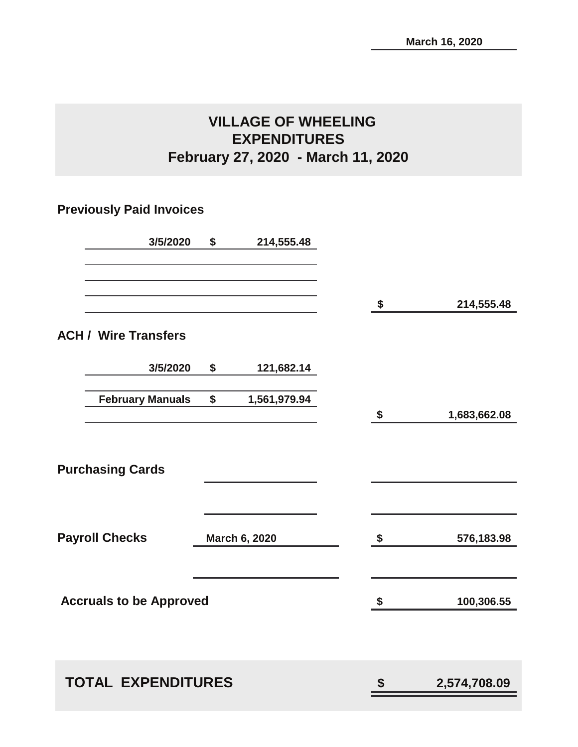## **VILLAGE OF WHEELING EXPENDITURES February 27, 2020 - March 11, 2020**

### **Previously Paid Invoices**

| 3/5/2020                       | \$<br>214,555.48   |                    |
|--------------------------------|--------------------|--------------------|
|                                |                    | \$<br>214,555.48   |
| <b>ACH / Wire Transfers</b>    |                    |                    |
| 3/5/2020                       | \$<br>121,682.14   |                    |
| <b>February Manuals</b>        | \$<br>1,561,979.94 | \$<br>1,683,662.08 |
| <b>Purchasing Cards</b>        |                    |                    |
| <b>Payroll Checks</b>          | March 6, 2020      | \$<br>576,183.98   |
| <b>Accruals to be Approved</b> |                    | \$<br>100,306.55   |
| <b>TOTAL EXPENDITURES</b>      |                    | \$<br>2,574,708.09 |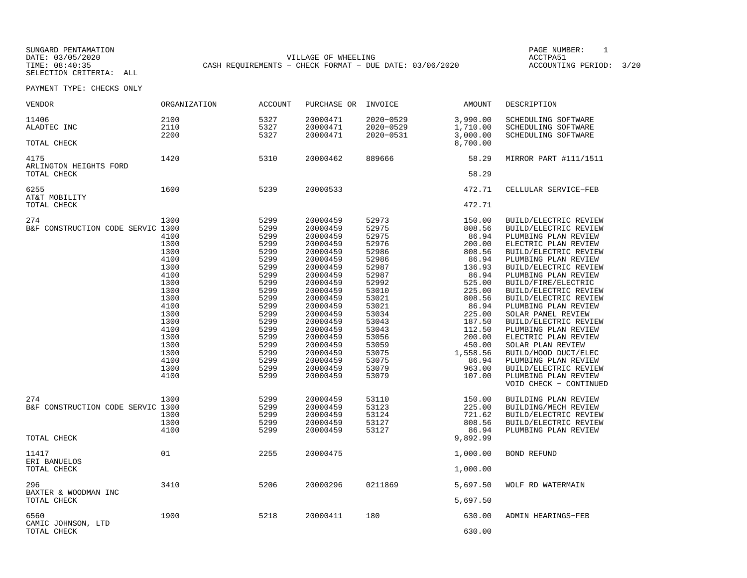SUNGARD PENTAMATION PAGE NUMBER: 1SELECTION CRITERIA: ALL

DATE: 03/05/2020 VILLAGE OF WHEELING ACCTPA51CASH REQUIREMENTS - CHECK FORMAT - DUE DATE: 03/06/2020

ACCOUNTING PERIOD: 3/20

PAYMENT TYPE: CHECKS ONLY

| VENDOR                                                  | ORGANIZATION                                                                                                                                                 | <b>ACCOUNT</b>                                                                                                                                                       | PURCHASE OR                                                                                                                                                                                                                                              | INVOICE                                                                                                                                                                                   | AMOUNT                                                                                                                                                                                                      | DESCRIPTION                                                                                                                                                                                                                                                                                                                                                                                                                                                                                                                                      |
|---------------------------------------------------------|--------------------------------------------------------------------------------------------------------------------------------------------------------------|----------------------------------------------------------------------------------------------------------------------------------------------------------------------|----------------------------------------------------------------------------------------------------------------------------------------------------------------------------------------------------------------------------------------------------------|-------------------------------------------------------------------------------------------------------------------------------------------------------------------------------------------|-------------------------------------------------------------------------------------------------------------------------------------------------------------------------------------------------------------|--------------------------------------------------------------------------------------------------------------------------------------------------------------------------------------------------------------------------------------------------------------------------------------------------------------------------------------------------------------------------------------------------------------------------------------------------------------------------------------------------------------------------------------------------|
| 11406<br>ALADTEC INC                                    | 2100<br>2110<br>2200                                                                                                                                         | 5327<br>5327<br>5327                                                                                                                                                 | 20000471<br>20000471<br>20000471                                                                                                                                                                                                                         | 2020-0529<br>2020-0529<br>2020-0531                                                                                                                                                       | 3,990.00<br>1,710.00<br>3,000.00                                                                                                                                                                            | SCHEDULING SOFTWARE<br>SCHEDULING SOFTWARE<br>SCHEDULING SOFTWARE                                                                                                                                                                                                                                                                                                                                                                                                                                                                                |
| TOTAL CHECK                                             |                                                                                                                                                              |                                                                                                                                                                      |                                                                                                                                                                                                                                                          |                                                                                                                                                                                           | 8,700.00                                                                                                                                                                                                    |                                                                                                                                                                                                                                                                                                                                                                                                                                                                                                                                                  |
| 4175<br>ARLINGTON HEIGHTS FORD<br>TOTAL CHECK           | 1420                                                                                                                                                         | 5310                                                                                                                                                                 | 20000462                                                                                                                                                                                                                                                 | 889666                                                                                                                                                                                    | 58.29<br>58.29                                                                                                                                                                                              | MIRROR PART #111/1511                                                                                                                                                                                                                                                                                                                                                                                                                                                                                                                            |
| 6255<br>AT&T MOBILITY                                   | 1600                                                                                                                                                         | 5239                                                                                                                                                                 | 20000533                                                                                                                                                                                                                                                 |                                                                                                                                                                                           | 472.71                                                                                                                                                                                                      | CELLULAR SERVICE-FEB                                                                                                                                                                                                                                                                                                                                                                                                                                                                                                                             |
| TOTAL CHECK                                             |                                                                                                                                                              |                                                                                                                                                                      |                                                                                                                                                                                                                                                          |                                                                                                                                                                                           | 472.71                                                                                                                                                                                                      |                                                                                                                                                                                                                                                                                                                                                                                                                                                                                                                                                  |
| 274<br>B&F CONSTRUCTION CODE SERVIC 1300                | 1300<br>4100<br>1300<br>1300<br>4100<br>1300<br>4100<br>1300<br>1300<br>1300<br>4100<br>1300<br>1300<br>4100<br>1300<br>1300<br>1300<br>4100<br>1300<br>4100 | 5299<br>5299<br>5299<br>5299<br>5299<br>5299<br>5299<br>5299<br>5299<br>5299<br>5299<br>5299<br>5299<br>5299<br>5299<br>5299<br>5299<br>5299<br>5299<br>5299<br>5299 | 20000459<br>20000459<br>20000459<br>20000459<br>20000459<br>20000459<br>20000459<br>20000459<br>20000459<br>20000459<br>20000459<br>20000459<br>20000459<br>20000459<br>20000459<br>20000459<br>20000459<br>20000459<br>20000459<br>20000459<br>20000459 | 52973<br>52975<br>52975<br>52976<br>52986<br>52986<br>52987<br>52987<br>52992<br>53010<br>53021<br>53021<br>53034<br>53043<br>53043<br>53056<br>53059<br>53075<br>53075<br>53079<br>53079 | 150.00<br>808.56<br>86.94<br>200.00<br>808.56<br>86.94<br>136.93<br>86.94<br>525.00<br>225.00<br>808.56<br>86.94<br>225.00<br>187.50<br>112.50<br>200.00<br>450.00<br>1,558.56<br>86.94<br>963.00<br>107.00 | BUILD/ELECTRIC REVIEW<br>BUILD/ELECTRIC REVIEW<br>PLUMBING PLAN REVIEW<br>ELECTRIC PLAN REVIEW<br>BUILD/ELECTRIC REVIEW<br>PLUMBING PLAN REVIEW<br>BUILD/ELECTRIC REVIEW<br>PLUMBING PLAN REVIEW<br>BUILD/FIRE/ELECTRIC<br>BUILD/ELECTRIC REVIEW<br>BUILD/ELECTRIC REVIEW<br>PLUMBING PLAN REVIEW<br>SOLAR PANEL REVIEW<br>BUILD/ELECTRIC REVIEW<br>PLUMBING PLAN REVIEW<br>ELECTRIC PLAN REVIEW<br>SOLAR PLAN REVIEW<br>BUILD/HOOD DUCT/ELEC<br>PLUMBING PLAN REVIEW<br>BUILD/ELECTRIC REVIEW<br>PLUMBING PLAN REVIEW<br>VOID CHECK - CONTINUED |
| 274<br>B&F CONSTRUCTION CODE SERVIC 1300<br>TOTAL CHECK | 1300<br>1300<br>1300<br>4100                                                                                                                                 | 5299<br>5299<br>5299<br>5299<br>5299                                                                                                                                 | 20000459<br>20000459<br>20000459<br>20000459<br>20000459                                                                                                                                                                                                 | 53110<br>53123<br>53124<br>53127<br>53127                                                                                                                                                 | 150.00<br>225.00<br>721.62<br>808.56<br>86.94<br>9,892.99                                                                                                                                                   | BUILDING PLAN REVIEW<br>BUILDING/MECH REVIEW<br>BUILD/ELECTRIC REVIEW<br>BUILD/ELECTRIC REVIEW<br>PLUMBING PLAN REVIEW                                                                                                                                                                                                                                                                                                                                                                                                                           |
| 11417                                                   | 01                                                                                                                                                           | 2255                                                                                                                                                                 | 20000475                                                                                                                                                                                                                                                 |                                                                                                                                                                                           | 1,000.00                                                                                                                                                                                                    | <b>BOND REFUND</b>                                                                                                                                                                                                                                                                                                                                                                                                                                                                                                                               |
| ERI BANUELOS<br>TOTAL CHECK                             |                                                                                                                                                              |                                                                                                                                                                      |                                                                                                                                                                                                                                                          |                                                                                                                                                                                           | 1,000.00                                                                                                                                                                                                    |                                                                                                                                                                                                                                                                                                                                                                                                                                                                                                                                                  |
| 296<br>BAXTER & WOODMAN INC<br>TOTAL CHECK              | 3410                                                                                                                                                         | 5206                                                                                                                                                                 | 20000296                                                                                                                                                                                                                                                 | 0211869                                                                                                                                                                                   | 5,697.50<br>5,697.50                                                                                                                                                                                        | WOLF RD WATERMAIN                                                                                                                                                                                                                                                                                                                                                                                                                                                                                                                                |
|                                                         |                                                                                                                                                              |                                                                                                                                                                      |                                                                                                                                                                                                                                                          |                                                                                                                                                                                           |                                                                                                                                                                                                             |                                                                                                                                                                                                                                                                                                                                                                                                                                                                                                                                                  |
| 6560<br>CAMIC JOHNSON, LTD<br>TOTAL CHECK               | 1900                                                                                                                                                         | 5218                                                                                                                                                                 | 20000411                                                                                                                                                                                                                                                 | 180                                                                                                                                                                                       | 630.00<br>630.00                                                                                                                                                                                            | ADMIN HEARINGS-FEB                                                                                                                                                                                                                                                                                                                                                                                                                                                                                                                               |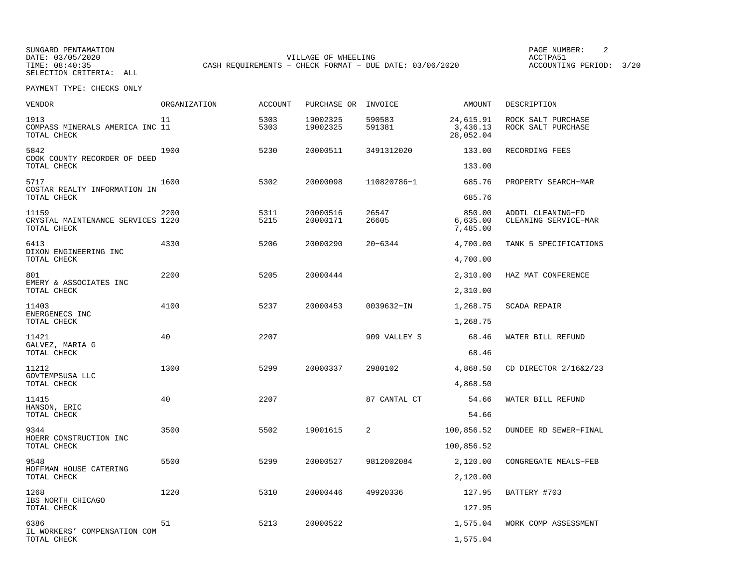SUNGARD PENTAMATION PAGE NUMBER: 2DATE: 03/05/2020 VILLAGE OF WHEELING ACCTPA51SELECTION CRITERIA: ALL

ACCOUNTING PERIOD: 3/20

PAYMENT TYPE: CHECKS ONLY

| VENDOR                                                    | ORGANIZATION | <b>ACCOUNT</b> | PURCHASE OR          | INVOICE          | AMOUNT                             | DESCRIPTION                               |
|-----------------------------------------------------------|--------------|----------------|----------------------|------------------|------------------------------------|-------------------------------------------|
| 1913<br>COMPASS MINERALS AMERICA INC 11<br>TOTAL CHECK    | 11           | 5303<br>5303   | 19002325<br>19002325 | 590583<br>591381 | 24,615.91<br>3,436.13<br>28,052.04 | ROCK SALT PURCHASE<br>ROCK SALT PURCHASE  |
| 5842<br>COOK COUNTY RECORDER OF DEED                      | 1900         | 5230           | 20000511             | 3491312020       | 133.00                             | RECORDING FEES                            |
| TOTAL CHECK                                               |              |                |                      |                  | 133.00                             |                                           |
| 5717<br>COSTAR REALTY INFORMATION IN<br>TOTAL CHECK       | 1600         | 5302           | 20000098             | 110820786-1      | 685.76<br>685.76                   | PROPERTY SEARCH-MAR                       |
| 11159<br>CRYSTAL MAINTENANCE SERVICES 1220<br>TOTAL CHECK | 2200         | 5311<br>5215   | 20000516<br>20000171 | 26547<br>26605   | 850.00<br>6,635.00<br>7,485.00     | ADDTL CLEANING-FD<br>CLEANING SERVICE-MAR |
| 6413                                                      | 4330         | 5206           | 20000290             | $20 - 6344$      | 4,700.00                           | TANK 5 SPECIFICATIONS                     |
| DIXON ENGINEERING INC<br>TOTAL CHECK                      |              |                |                      |                  | 4,700.00                           |                                           |
| 801                                                       | 2200         | 5205           | 20000444             |                  | 2,310.00                           | HAZ MAT CONFERENCE                        |
| EMERY & ASSOCIATES INC<br>TOTAL CHECK                     |              |                |                      |                  | 2,310.00                           |                                           |
| 11403<br>ENERGENECS INC                                   | 4100         | 5237           | 20000453             | 0039632-IN       | 1,268.75                           | SCADA REPAIR                              |
| TOTAL CHECK                                               |              |                |                      |                  | 1,268.75                           |                                           |
| 11421<br>GALVEZ, MARIA G<br>TOTAL CHECK                   | 40           | 2207           |                      | 909 VALLEY S     | 68.46<br>68.46                     | WATER BILL REFUND                         |
| 11212                                                     | 1300         | 5299           | 20000337             | 2980102          | 4,868.50                           | CD DIRECTOR 2/16&2/23                     |
| GOVTEMPSUSA LLC<br>TOTAL CHECK                            |              |                |                      |                  | 4,868.50                           |                                           |
| 11415                                                     | 40           | 2207           |                      | 87 CANTAL CT     | 54.66                              | WATER BILL REFUND                         |
| HANSON, ERIC<br>TOTAL CHECK                               |              |                |                      |                  | 54.66                              |                                           |
| 9344                                                      | 3500         | 5502           | 19001615             | 2                | 100,856.52                         | DUNDEE RD SEWER-FINAL                     |
| HOERR CONSTRUCTION INC<br>TOTAL CHECK                     |              |                |                      |                  | 100,856.52                         |                                           |
| 9548                                                      | 5500         | 5299           | 20000527             | 9812002084       | 2,120.00                           | CONGREGATE MEALS-FEB                      |
| HOFFMAN HOUSE CATERING<br>TOTAL CHECK                     |              |                |                      |                  | 2,120.00                           |                                           |
| 1268                                                      | 1220         | 5310           | 20000446             | 49920336         | 127.95                             | BATTERY #703                              |
| IBS NORTH CHICAGO<br>TOTAL CHECK                          |              |                |                      |                  | 127.95                             |                                           |
| 6386                                                      | 51           | 5213           | 20000522             |                  | 1,575.04                           | WORK COMP ASSESSMENT                      |
| IL WORKERS' COMPENSATION COM<br>TOTAL CHECK               |              |                |                      |                  | 1,575.04                           |                                           |

CASH REQUIREMENTS - CHECK FORMAT - DUE DATE: 03/06/2020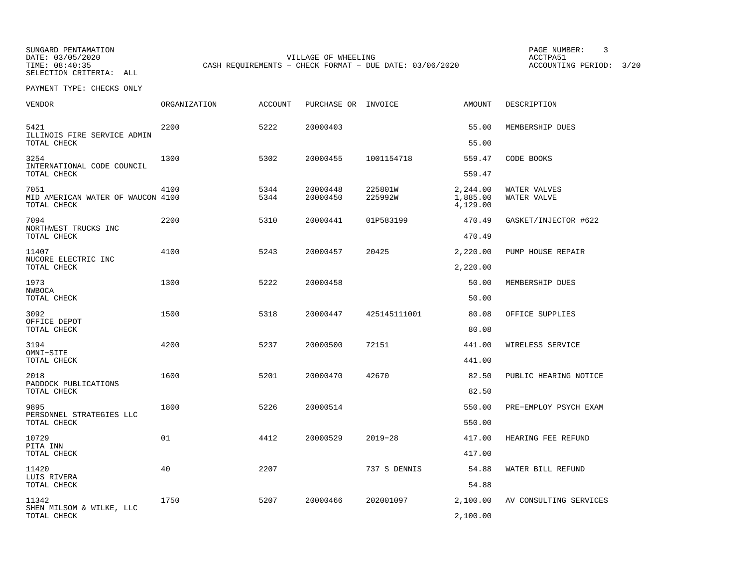SUNGARD PENTAMATION PAGE NUMBER: 3

SELECTION CRITERIA: ALL

DATE: 03/05/2020 VILLAGE OF WHEELING ACCTPA51CASH REQUIREMENTS - CHECK FORMAT - DUE DATE: 03/06/2020

ACCOUNTING PERIOD: 3/20

PAYMENT TYPE: CHECKS ONLY

| VENDOR                                                   | ORGANIZATION | <b>ACCOUNT</b> | PURCHASE OR INVOICE  |                    | AMOUNT                           | DESCRIPTION                 |
|----------------------------------------------------------|--------------|----------------|----------------------|--------------------|----------------------------------|-----------------------------|
| 5421<br>ILLINOIS FIRE SERVICE ADMIN                      | 2200         | 5222           | 20000403             |                    | 55.00                            | MEMBERSHIP DUES             |
| TOTAL CHECK                                              |              |                |                      |                    | 55.00                            |                             |
| 3254<br>INTERNATIONAL CODE COUNCIL<br>TOTAL CHECK        | 1300         | 5302           | 20000455             | 1001154718         | 559.47<br>559.47                 | CODE BOOKS                  |
| 7051<br>MID AMERICAN WATER OF WAUCON 4100<br>TOTAL CHECK | 4100         | 5344<br>5344   | 20000448<br>20000450 | 225801W<br>225992W | 2,244.00<br>1,885.00<br>4,129.00 | WATER VALVES<br>WATER VALVE |
| 7094                                                     | 2200         | 5310           | 20000441             | 01P583199          | 470.49                           | GASKET/INJECTOR #622        |
| NORTHWEST TRUCKS INC<br>TOTAL CHECK                      |              |                |                      |                    | 470.49                           |                             |
| 11407                                                    | 4100         | 5243           | 20000457             | 20425              | 2,220.00                         | PUMP HOUSE REPAIR           |
| NUCORE ELECTRIC INC<br>TOTAL CHECK                       |              |                |                      |                    | 2,220.00                         |                             |
| 1973                                                     | 1300         | 5222           | 20000458             |                    | 50.00                            | MEMBERSHIP DUES             |
| NWBOCA<br>TOTAL CHECK                                    |              |                |                      |                    | 50.00                            |                             |
| 3092                                                     | 1500         | 5318           | 20000447             | 425145111001       | 80.08                            | OFFICE SUPPLIES             |
| OFFICE DEPOT<br>TOTAL CHECK                              |              |                |                      |                    | 80.08                            |                             |
| 3194                                                     | 4200         | 5237           | 20000500             | 72151              | 441.00                           | WIRELESS SERVICE            |
| OMNI-SITE<br>TOTAL CHECK                                 |              |                |                      |                    | 441.00                           |                             |
| 2018                                                     | 1600         | 5201           | 20000470             | 42670              | 82.50                            | PUBLIC HEARING NOTICE       |
| PADDOCK PUBLICATIONS<br>TOTAL CHECK                      |              |                |                      |                    | 82.50                            |                             |
| 9895                                                     | 1800         | 5226           | 20000514             |                    | 550.00                           | PRE-EMPLOY PSYCH EXAM       |
| PERSONNEL STRATEGIES LLC<br>TOTAL CHECK                  |              |                |                      |                    | 550.00                           |                             |
| 10729                                                    | 01           | 4412           | 20000529             | $2019 - 28$        | 417.00                           | HEARING FEE REFUND          |
| PITA INN<br>TOTAL CHECK                                  |              |                |                      |                    | 417.00                           |                             |
| 11420                                                    | 40           | 2207           |                      | 737 S DENNIS       | 54.88                            | WATER BILL REFUND           |
| LUIS RIVERA<br>TOTAL CHECK                               |              |                |                      |                    | 54.88                            |                             |
| 11342                                                    | 1750         | 5207           | 20000466             | 202001097          | 2,100.00                         | AV CONSULTING SERVICES      |
| SHEN MILSOM & WILKE, LLC<br>TOTAL CHECK                  |              |                |                      |                    | 2,100.00                         |                             |
|                                                          |              |                |                      |                    |                                  |                             |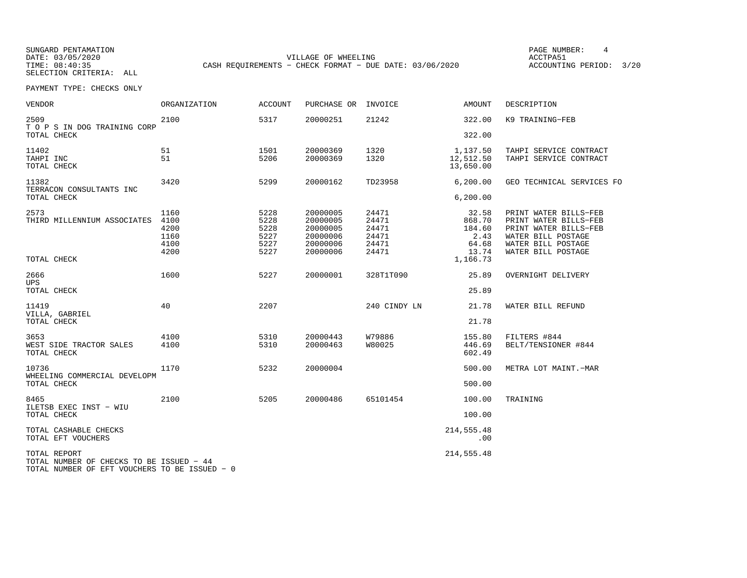SUNGARD PENTAMATION PAGE NUMBER: 4SELECTION CRITERIA: ALL

DATE: 03/05/2020 VILLAGE OF WHEELING ACCTPA51TIME: 08:40:35 CASH REQUIREMENTS - CHECK FORMAT - DUE DATE: 03/06/2020

ACCOUNTING PERIOD: 3/20

PAYMENT TYPE: CHECKS ONLY

| VENDOR                                                                                                    | <b>ORGANIZATION</b>                          | <b>ACCOUNT</b>                               | PURCHASE OR                                                          | INVOICE                                            | AMOUNT                                                          | DESCRIPTION                                                                                                                               |
|-----------------------------------------------------------------------------------------------------------|----------------------------------------------|----------------------------------------------|----------------------------------------------------------------------|----------------------------------------------------|-----------------------------------------------------------------|-------------------------------------------------------------------------------------------------------------------------------------------|
| 2509<br>T O P S IN DOG TRAINING CORP<br>TOTAL CHECK                                                       | 2100                                         | 5317                                         | 20000251                                                             | 21242                                              | 322.00<br>322.00                                                | K9 TRAINING-FEB                                                                                                                           |
| 11402<br>TAHPI INC<br>TOTAL CHECK                                                                         | 51<br>51                                     | 1501<br>5206                                 | 20000369<br>20000369                                                 | 1320<br>1320                                       | 1,137.50<br>12,512.50<br>13,650.00                              | TAHPI SERVICE CONTRACT<br>TAHPI SERVICE CONTRACT                                                                                          |
| 11382<br>TERRACON CONSULTANTS INC<br>TOTAL CHECK                                                          | 3420                                         | 5299                                         | 20000162                                                             | TD23958                                            | 6, 200.00<br>6, 200.00                                          | GEO TECHNICAL SERVICES FC                                                                                                                 |
| 2573<br>THIRD MILLENNIUM ASSOCIATES<br>TOTAL CHECK                                                        | 1160<br>4100<br>4200<br>1160<br>4100<br>4200 | 5228<br>5228<br>5228<br>5227<br>5227<br>5227 | 20000005<br>20000005<br>20000005<br>20000006<br>20000006<br>20000006 | 24471<br>24471<br>24471<br>24471<br>24471<br>24471 | 32.58<br>868.70<br>184.60<br>2.43<br>64.68<br>13.74<br>1,166.73 | PRINT WATER BILLS-FEB<br>PRINT WATER BILLS-FEB<br>PRINT WATER BILLS-FEB<br>WATER BILL POSTAGE<br>WATER BILL POSTAGE<br>WATER BILL POSTAGE |
| 2666<br>UPS.<br>TOTAL CHECK                                                                               | 1600                                         | 5227                                         | 20000001                                                             | 328T1T090                                          | 25.89<br>25.89                                                  | OVERNIGHT DELIVERY                                                                                                                        |
| 11419<br>VILLA, GABRIEL<br>TOTAL CHECK                                                                    | 40                                           | 2207                                         |                                                                      | 240 CINDY LN                                       | 21.78<br>21.78                                                  | WATER BILL REFUND                                                                                                                         |
| 3653<br>WEST SIDE TRACTOR SALES<br>TOTAL CHECK                                                            | 4100<br>4100                                 | 5310<br>5310                                 | 20000443<br>20000463                                                 | W79886<br>W80025                                   | 155.80<br>446.69<br>602.49                                      | FILTERS #844<br>BELT/TENSIONER #844                                                                                                       |
| 10736<br>WHEELING COMMERCIAL DEVELOPM<br>TOTAL CHECK                                                      | 1170                                         | 5232                                         | 20000004                                                             |                                                    | 500.00<br>500.00                                                | METRA LOT MAINT.-MAR                                                                                                                      |
| 8465<br>ILETSB EXEC INST - WIU<br>TOTAL CHECK                                                             | 2100                                         | 5205                                         | 20000486                                                             | 65101454                                           | 100.00<br>100.00                                                | TRAINING                                                                                                                                  |
| TOTAL CASHABLE CHECKS<br>TOTAL EFT VOUCHERS                                                               |                                              |                                              |                                                                      |                                                    | 214, 555.48<br>.00                                              |                                                                                                                                           |
| TOTAL REPORT<br>TOTAL NUMBER OF CHECKS TO BE ISSUED - 44<br>TOTAL NUMBER OF EFT VOUCHERS TO BE ISSUED - 0 |                                              |                                              |                                                                      |                                                    | 214, 555.48                                                     |                                                                                                                                           |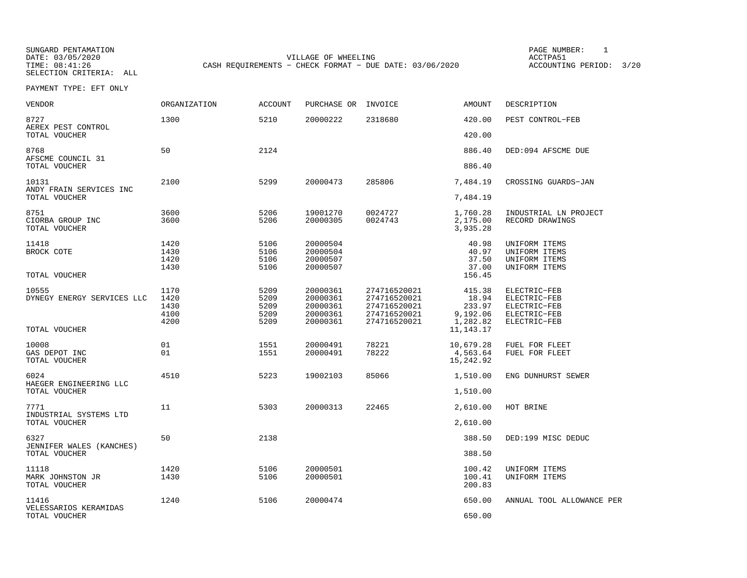SELECTION CRITERIA: ALL

SUNGARD PENTAMATION PAGE NUMBER: 1DATE: 03/05/2020 VILLAGE OF WHEELING ACCTPA51CASH REQUIREMENTS - CHECK FORMAT - DUE DATE: 03/06/2020

ACCOUNTING PERIOD: 3/20

PAYMENT TYPE: EFT ONLY

| VENDOR                                     | <b>ORGANIZATION</b>                  | <b>ACCOUNT</b>                       | PURCHASE OR                                              | INVOICE                                                                      | <b>AMOUNT</b>                                     | DESCRIPTION                                                                  |
|--------------------------------------------|--------------------------------------|--------------------------------------|----------------------------------------------------------|------------------------------------------------------------------------------|---------------------------------------------------|------------------------------------------------------------------------------|
| 8727<br>AEREX PEST CONTROL                 | 1300                                 | 5210                                 | 20000222                                                 | 2318680                                                                      | 420.00                                            | PEST CONTROL-FEB                                                             |
| TOTAL VOUCHER                              |                                      |                                      |                                                          |                                                                              | 420.00                                            |                                                                              |
| 8768<br>AFSCME COUNCIL 31<br>TOTAL VOUCHER | 50                                   | 2124                                 |                                                          |                                                                              | 886.40<br>886.40                                  | DED:094 AFSCME DUE                                                           |
|                                            |                                      |                                      |                                                          |                                                                              |                                                   |                                                                              |
| 10131<br>ANDY FRAIN SERVICES INC           | 2100                                 | 5299                                 | 20000473                                                 | 285806                                                                       | 7,484.19                                          | CROSSING GUARDS-JAN                                                          |
| TOTAL VOUCHER                              |                                      |                                      |                                                          |                                                                              | 7,484.19                                          |                                                                              |
| 8751<br>CIORBA GROUP INC<br>TOTAL VOUCHER  | 3600<br>3600                         | 5206<br>5206                         | 19001270<br>20000305                                     | 0024727<br>0024743                                                           | 1,760.28<br>2,175.00<br>3,935.28                  | INDUSTRIAL LN PROJECT<br>RECORD DRAWINGS                                     |
| 11418<br>BROCK COTE                        | 1420<br>1430<br>1420<br>1430         | 5106<br>5106<br>5106<br>5106         | 20000504<br>20000504<br>20000507<br>20000507             |                                                                              | 40.98<br>40.97<br>37.50<br>37.00                  | UNIFORM ITEMS<br>UNIFORM ITEMS<br>UNIFORM ITEMS<br>UNIFORM ITEMS             |
| TOTAL VOUCHER                              |                                      |                                      |                                                          |                                                                              | 156.45                                            |                                                                              |
| 10555<br>DYNEGY ENERGY SERVICES LLC        | 1170<br>1420<br>1430<br>4100<br>4200 | 5209<br>5209<br>5209<br>5209<br>5209 | 20000361<br>20000361<br>20000361<br>20000361<br>20000361 | 274716520021<br>274716520021<br>274716520021<br>274716520021<br>274716520021 | 415.38<br>18.94<br>233.97<br>9,192.06<br>1,282.82 | ELECTRIC-FEB<br>ELECTRIC-FEB<br>ELECTRIC-FEB<br>ELECTRIC-FEB<br>ELECTRIC-FEB |
| TOTAL VOUCHER                              |                                      |                                      |                                                          |                                                                              | 11, 143. 17                                       |                                                                              |
| 10008<br>GAS DEPOT INC<br>TOTAL VOUCHER    | 01<br>01                             | 1551<br>1551                         | 20000491<br>20000491                                     | 78221<br>78222                                                               | 10,679.28<br>4,563.64<br>15,242.92                | FUEL FOR FLEET<br>FUEL FOR FLEET                                             |
| 6024<br>HAEGER ENGINEERING LLC             | 4510                                 | 5223                                 | 19002103                                                 | 85066                                                                        | 1,510.00                                          | ENG DUNHURST SEWER                                                           |
| TOTAL VOUCHER                              |                                      |                                      |                                                          |                                                                              | 1,510.00                                          |                                                                              |
| 7771<br>INDUSTRIAL SYSTEMS LTD             | 11                                   | 5303                                 | 20000313                                                 | 22465                                                                        | 2,610.00                                          | HOT BRINE                                                                    |
| TOTAL VOUCHER                              |                                      |                                      |                                                          |                                                                              | 2,610.00                                          |                                                                              |
| 6327<br>JENNIFER WALES (KANCHES)           | 50                                   | 2138                                 |                                                          |                                                                              | 388.50                                            | DED:199 MISC DEDUC                                                           |
| TOTAL VOUCHER                              |                                      |                                      |                                                          |                                                                              | 388.50                                            |                                                                              |
| 11118<br>MARK JOHNSTON JR<br>TOTAL VOUCHER | 1420<br>1430                         | 5106<br>5106                         | 20000501<br>20000501                                     |                                                                              | 100.42<br>100.41<br>200.83                        | UNIFORM ITEMS<br>UNIFORM ITEMS                                               |
| 11416<br>VELESSARIOS KERAMIDAS             | 1240                                 | 5106                                 | 20000474                                                 |                                                                              | 650.00                                            | ANNUAL TOOL ALLOWANCE PER                                                    |
| TOTAL VOUCHER                              |                                      |                                      |                                                          |                                                                              | 650.00                                            |                                                                              |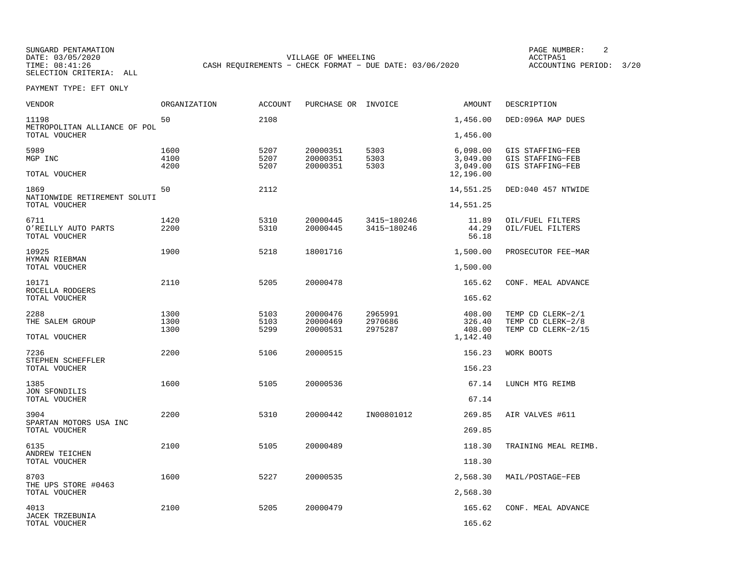SUNGARD PENTAMATION PAGE NUMBER: 2SELECTION CRITERIA: ALL

DATE: 03/05/2020 VILLAGE OF WHEELING ACCTPA51CASH REQUIREMENTS - CHECK FORMAT - DUE DATE: 03/06/2020

ACCOUNTING PERIOD: 3/20

PAYMENT TYPE: EFT ONLY

| VENDOR                                       | ORGANIZATION         | <b>ACCOUNT</b>       | PURCHASE OR                      | INVOICE                    | AMOUNT                           | DESCRIPTION                                              |
|----------------------------------------------|----------------------|----------------------|----------------------------------|----------------------------|----------------------------------|----------------------------------------------------------|
| 11198<br>METROPOLITAN ALLIANCE OF POL        | 50                   | 2108                 |                                  |                            | 1,456.00                         | DED:096A MAP DUES                                        |
| TOTAL VOUCHER                                |                      |                      |                                  |                            | 1,456.00                         |                                                          |
| 5989<br>MGP INC                              | 1600<br>4100<br>4200 | 5207<br>5207<br>5207 | 20000351<br>20000351<br>20000351 | 5303<br>5303<br>5303       | 6,098.00<br>3,049.00<br>3,049.00 | GIS STAFFING-FEB<br>GIS STAFFING-FEB<br>GIS STAFFING-FEB |
| TOTAL VOUCHER                                |                      |                      |                                  |                            | 12,196.00                        |                                                          |
| 1869<br>NATIONWIDE RETIREMENT SOLUTI         | 50                   | 2112                 |                                  |                            | 14,551.25                        | DED:040 457 NTWIDE                                       |
| TOTAL VOUCHER                                |                      |                      |                                  |                            | 14,551.25                        |                                                          |
| 6711<br>O'REILLY AUTO PARTS<br>TOTAL VOUCHER | 1420<br>2200         | 5310<br>5310         | 20000445<br>20000445             | 3415-180246<br>3415-180246 | 11.89<br>44.29<br>56.18          | OIL/FUEL FILTERS<br>OIL/FUEL FILTERS                     |
| 10925                                        | 1900                 | 5218                 | 18001716                         |                            | 1,500.00                         | PROSECUTOR FEE-MAR                                       |
| HYMAN RIEBMAN<br>TOTAL VOUCHER               |                      |                      |                                  |                            | 1,500.00                         |                                                          |
| 10171                                        | 2110                 | 5205                 | 20000478                         |                            | 165.62                           | CONF. MEAL ADVANCE                                       |
| ROCELLA RODGERS<br>TOTAL VOUCHER             |                      |                      |                                  |                            | 165.62                           |                                                          |
| 2288                                         | 1300                 | 5103                 | 20000476                         | 2965991                    | 408.00                           | TEMP CD CLERK-2/1                                        |
| THE SALEM GROUP                              | 1300<br>1300         | 5103<br>5299         | 20000469<br>20000531             | 2970686<br>2975287         | 326.40<br>408.00                 | TEMP CD CLERK-2/8<br>TEMP CD CLERK-2/15                  |
| TOTAL VOUCHER                                |                      |                      |                                  |                            | 1,142.40                         |                                                          |
| 7236                                         | 2200                 | 5106                 | 20000515                         |                            | 156.23                           | WORK BOOTS                                               |
| STEPHEN SCHEFFLER<br>TOTAL VOUCHER           |                      |                      |                                  |                            | 156.23                           |                                                          |
| 1385<br><b>JON SFONDILIS</b>                 | 1600                 | 5105                 | 20000536                         |                            | 67.14                            | LUNCH MTG REIMB                                          |
| TOTAL VOUCHER                                |                      |                      |                                  |                            | 67.14                            |                                                          |
| 3904                                         | 2200                 | 5310                 | 20000442                         | IN00801012                 | 269.85                           | AIR VALVES #611                                          |
| SPARTAN MOTORS USA INC<br>TOTAL VOUCHER      |                      |                      |                                  |                            | 269.85                           |                                                          |
| 6135                                         | 2100                 | 5105                 | 20000489                         |                            | 118.30                           | TRAINING MEAL REIMB.                                     |
| ANDREW TEICHEN<br>TOTAL VOUCHER              |                      |                      |                                  |                            | 118.30                           |                                                          |
| 8703                                         | 1600                 | 5227                 | 20000535                         |                            | 2,568.30                         | MAIL/POSTAGE-FEB                                         |
| THE UPS STORE #0463<br>TOTAL VOUCHER         |                      |                      |                                  |                            | 2,568.30                         |                                                          |
| 4013                                         | 2100                 | 5205                 | 20000479                         |                            | 165.62                           | CONF. MEAL ADVANCE                                       |
| <b>JACEK TRZEBUNIA</b><br>TOTAL VOUCHER      |                      |                      |                                  |                            | 165.62                           |                                                          |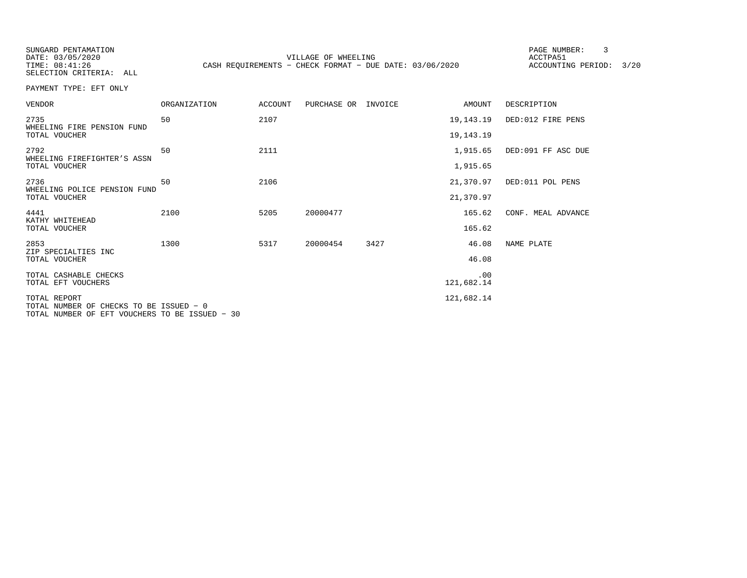SUNGARD PENTAMATION PAGE NUMBER: 3

SELECTION CRITERIA: ALL

DATE: 03/05/2020 VILLAGE OF WHEELING ACCTPA51TIME: 08:41:26 CASH REQUIREMENTS - CHECK FORMAT - DUE DATE: 03/06/2020

ACCOUNTING PERIOD: 3/20

PAYMENT TYPE: EFT ONLY

| <b>VENDOR</b>                                           | <b>ORGANIZATION</b> | <b>ACCOUNT</b> | PURCHASE OR INVOICE |      | AMOUNT            | DESCRIPTION        |
|---------------------------------------------------------|---------------------|----------------|---------------------|------|-------------------|--------------------|
| 2735<br>WHEELING FIRE PENSION FUND                      | 50                  | 2107           |                     |      | 19,143.19         | DED:012 FIRE PENS  |
| TOTAL VOUCHER                                           |                     |                |                     |      | 19, 143. 19       |                    |
| 2792<br>WHEELING FIREFIGHTER'S ASSN                     | 50                  | 2111           |                     |      | 1,915.65          | DED:091 FF ASC DUE |
| TOTAL VOUCHER                                           |                     |                |                     |      | 1,915.65          |                    |
| 2736<br>WHEELING POLICE PENSION FUND                    | 50                  | 2106           |                     |      | 21,370.97         | DED:011 POL PENS   |
| TOTAL VOUCHER                                           |                     |                |                     |      | 21,370.97         |                    |
| 4441<br>KATHY WHITEHEAD                                 | 2100                | 5205           | 20000477            |      | 165.62            | CONF. MEAL ADVANCE |
| TOTAL VOUCHER                                           |                     |                |                     |      | 165.62            |                    |
| 2853<br>ZIP SPECIALTIES INC                             | 1300                | 5317           | 20000454            | 3427 | 46.08             | NAME PLATE         |
| TOTAL VOUCHER                                           |                     |                |                     |      | 46.08             |                    |
| TOTAL CASHABLE CHECKS<br>TOTAL EFT VOUCHERS             |                     |                |                     |      | .00<br>121,682.14 |                    |
|                                                         |                     |                |                     |      |                   |                    |
| TOTAL REPORT<br>TOTAL NUMBER OF CHECKS TO BE ISSUED - 0 |                     |                |                     |      | 121,682.14        |                    |

TOTAL NUMBER OF EFT VOUCHERS TO BE ISSUED − 30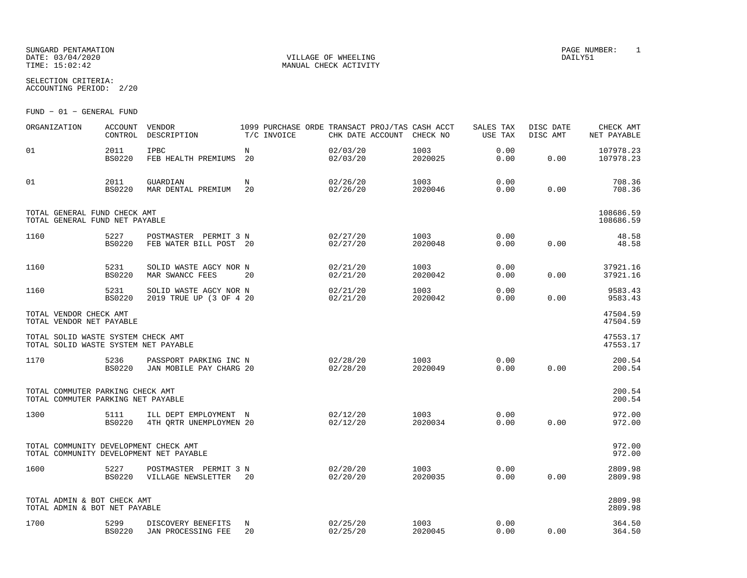#### SUNGARD PENTAMATION PAGE NUMBER: 1 DATE: 03/04/2020 VILLAGE OF WHEELING DAILY51TIME: 15:02:42 MANUAL CHECK ACTIVITY

SELECTION CRITERIA:ACCOUNTING PERIOD: 2/20

FUND − 01 − GENERAL FUND

| ORGANIZATION                                                                     | <b>ACCOUNT</b><br>CONTROL | VENDOR<br>DESCRIPTION                             | 1099 PURCHASE ORDE TRANSACT PROJ/TAS CASH ACCT<br>T/C INVOICE | CHK DATE ACCOUNT     | CHECK NO        | SALES TAX<br>USE TAX | DISC DATE<br>DISC AMT | CHECK AMT<br>NET PAYABLE |
|----------------------------------------------------------------------------------|---------------------------|---------------------------------------------------|---------------------------------------------------------------|----------------------|-----------------|----------------------|-----------------------|--------------------------|
| 01                                                                               | 2011<br><b>BS0220</b>     | IPBC<br>FEB HEALTH PREMIUMS 20                    | $_{\rm N}$                                                    | 02/03/20<br>02/03/20 | 1003<br>2020025 | 0.00<br>0.00         | 0.00                  | 107978.23<br>107978.23   |
| 01                                                                               | 2011<br><b>BS0220</b>     | GUARDIAN<br>MAR DENTAL PREMIUM                    | N<br>20                                                       | 02/26/20<br>02/26/20 | 1003<br>2020046 | 0.00<br>0.00         | 0.00                  | 708.36<br>708.36         |
| TOTAL GENERAL FUND CHECK AMT<br>TOTAL GENERAL FUND NET PAYABLE                   |                           |                                                   |                                                               |                      |                 |                      |                       | 108686.59<br>108686.59   |
| 1160                                                                             | 5227<br><b>BS0220</b>     | POSTMASTER PERMIT 3 N<br>FEB WATER BILL POST 20   |                                                               | 02/27/20<br>02/27/20 | 1003<br>2020048 | 0.00<br>0.00         | 0.00                  | 48.58<br>48.58           |
| 1160                                                                             | 5231<br><b>BS0220</b>     | SOLID WASTE AGCY NOR N<br>MAR SWANCC FEES         | 20                                                            | 02/21/20<br>02/21/20 | 1003<br>2020042 | 0.00<br>0.00         | 0.00                  | 37921.16<br>37921.16     |
| 1160                                                                             | 5231<br><b>BS0220</b>     | SOLID WASTE AGCY NOR N<br>2019 TRUE UP (3 OF 4 20 |                                                               | 02/21/20<br>02/21/20 | 1003<br>2020042 | 0.00<br>0.00         | 0.00                  | 9583.43<br>9583.43       |
| TOTAL VENDOR CHECK AMT<br>TOTAL VENDOR NET PAYABLE                               |                           |                                                   |                                                               |                      |                 |                      |                       | 47504.59<br>47504.59     |
| TOTAL SOLID WASTE SYSTEM CHECK AMT<br>TOTAL SOLID WASTE SYSTEM NET PAYABLE       |                           |                                                   |                                                               |                      |                 |                      |                       | 47553.17<br>47553.17     |
| 1170                                                                             | 5236<br><b>BS0220</b>     | PASSPORT PARKING INC N<br>JAN MOBILE PAY CHARG 20 |                                                               | 02/28/20<br>02/28/20 | 1003<br>2020049 | 0.00<br>0.00         | 0.00                  | 200.54<br>200.54         |
| TOTAL COMMUTER PARKING CHECK AMT<br>TOTAL COMMUTER PARKING NET PAYABLE           |                           |                                                   |                                                               |                      |                 |                      |                       | 200.54<br>200.54         |
| 1300                                                                             | 5111<br><b>BS0220</b>     | ILL DEPT EMPLOYMENT N<br>4TH ORTR UNEMPLOYMEN 20  |                                                               | 02/12/20<br>02/12/20 | 1003<br>2020034 | 0.00<br>0.00         | 0.00                  | 972.00<br>972.00         |
| TOTAL COMMUNITY DEVELOPMENT CHECK AMT<br>TOTAL COMMUNITY DEVELOPMENT NET PAYABLE |                           |                                                   |                                                               |                      |                 |                      |                       | 972.00<br>972.00         |
| 1600                                                                             | 5227<br><b>BS0220</b>     | POSTMASTER PERMIT 3 N<br>VILLAGE NEWSLETTER       | 20                                                            | 02/20/20<br>02/20/20 | 1003<br>2020035 | 0.00<br>0.00         | 0.00                  | 2809.98<br>2809.98       |
| TOTAL ADMIN & BOT CHECK AMT<br>TOTAL ADMIN & BOT NET PAYABLE                     |                           |                                                   |                                                               |                      |                 |                      |                       | 2809.98<br>2809.98       |
| 1700                                                                             | 5299                      | DISCOVERY BENEFITS<br>BS0220 JAN PROCESSING FEE   | N<br>20                                                       | 02/25/20<br>02/25/20 | 1003<br>2020045 | 0.00<br>0.00         | 0.00                  | 364.50<br>364.50         |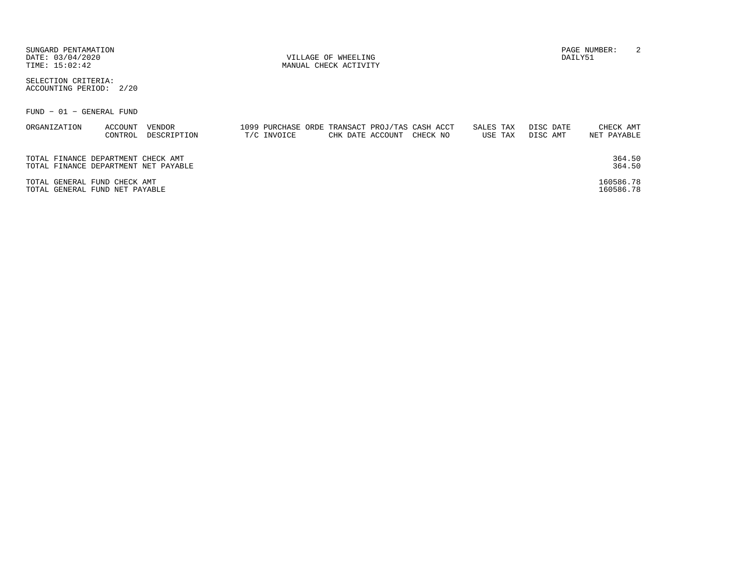| SUNGARD PENTAMATION<br>DATE: 03/04/2020<br>TIME: 15:02:42                  |             | VILLAGE OF WHEELING<br>MANUAL CHECK ACTIVITY                                   |                      | DAILY51               | 2<br>PAGE NUMBER:        |
|----------------------------------------------------------------------------|-------------|--------------------------------------------------------------------------------|----------------------|-----------------------|--------------------------|
| SELECTION CRITERIA:<br>ACCOUNTING PERIOD: 2/20                             |             |                                                                                |                      |                       |                          |
| $FUND - 01 - GENERAL FUND$                                                 |             |                                                                                |                      |                       |                          |
| ORGANIZATION<br>VENDOR<br>ACCOUNT<br>DESCRIPTION<br>CONTROL                | T/C INVOICE | 1099 PURCHASE ORDE TRANSACT PROJ/TAS CASH ACCT<br>CHK DATE ACCOUNT<br>CHECK NO | SALES TAX<br>USE TAX | DISC DATE<br>DISC AMT | CHECK AMT<br>NET PAYABLE |
| TOTAL FINANCE DEPARTMENT CHECK AMT<br>TOTAL FINANCE DEPARTMENT NET PAYABLE |             |                                                                                |                      |                       | 364.50<br>364.50         |
| TOTAL GENERAL FUND CHECK AMT<br>TOTAL GENERAL FUND NET PAYABLE             |             |                                                                                |                      |                       | 160586.78<br>160586.78   |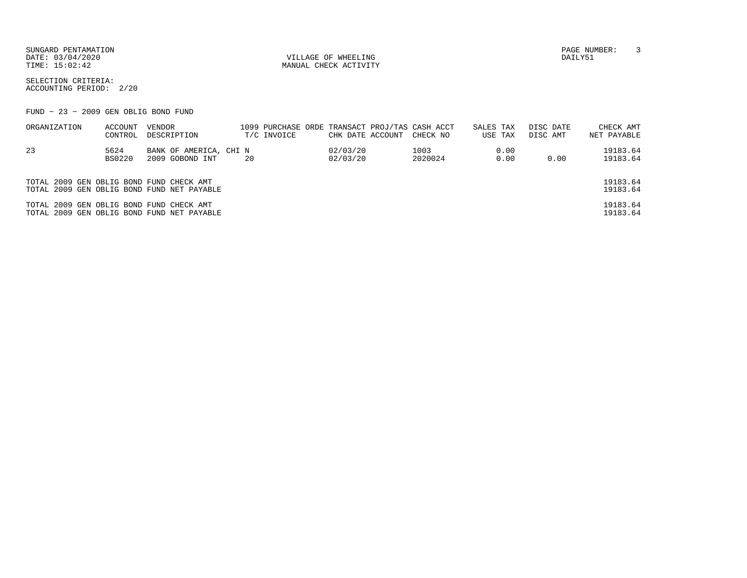SUNGARD PENTAMATION PAGE NUMBER: 3DATE: 03/04/2020 VILLAGE OF WHEELING DAILY51

MANUAL CHECK ACTIVITY

SELECTION CRITERIA:ACCOUNTING PERIOD: 2/20

FUND − 23 − 2009 GEN OBLIG BOND FUND

| ORGANIZATION                             | ACCOUNT | VENDOR                                     | 1099 PURCHASE ORDE TRANSACT PROJ/TAS CASH ACCT |                  |          | SALES TAX | DISC DATE | CHECK AMT   |
|------------------------------------------|---------|--------------------------------------------|------------------------------------------------|------------------|----------|-----------|-----------|-------------|
|                                          | CONTROL | DESCRIPTION                                | T/C INVOICE                                    | CHK DATE ACCOUNT | CHECK NO | USE TAX   | DISC AMT  | NET PAYABLE |
| 23                                       | 5624    | BANK OF AMERICA, CHI N                     |                                                | 02/03/20         | 1003     | 0.00      |           | 19183.64    |
|                                          | BS0220  | 2009 GOBOND INT                            | 20                                             | 02/03/20         | 2020024  | 0.00      | 0.00      | 19183.64    |
|                                          |         |                                            |                                                |                  |          |           |           |             |
| TOTAL 2009 GEN OBLIG BOND FUND CHECK AMT |         |                                            |                                                |                  |          |           |           | 19183.64    |
|                                          |         | TOTAL 2009 GEN OBLIG BOND FUND NET PAYABLE |                                                |                  |          |           |           | 19183.64    |
| TOTAL 2009 GEN OBLIG BOND FUND CHECK AMT |         |                                            |                                                |                  |          |           |           | 19183.64    |
|                                          |         | TOTAL 2009 GEN OBLIG BOND FUND NET PAYABLE |                                                |                  |          |           |           | 19183.64    |
|                                          |         |                                            |                                                |                  |          |           |           |             |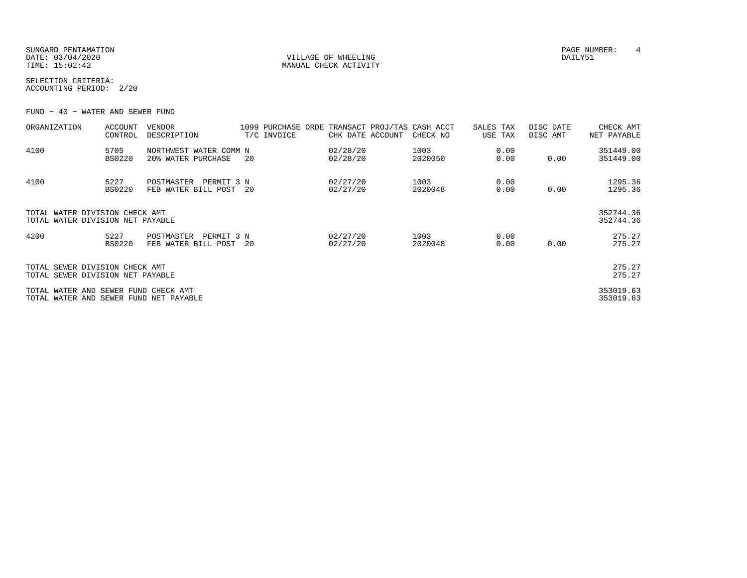SUNGARD PENTAMATION PAGE NUMBER: 4 DATE: 03/04/2020 VILLAGE OF WHEELING DAILY51

MANUAL CHECK ACTIVITY

SELECTION CRITERIA:ACCOUNTING PERIOD: 2/20

FUND − 40 − WATER AND SEWER FUND

| ORGANIZATION                                                                   | <b>ACCOUNT</b><br>CONTROL | <b>VENDOR</b><br>DESCRIPTION                    |    | 1099 PURCHASE ORDE<br>T/C INVOICE | CHK DATE ACCOUNT     | TRANSACT PROJ/TAS CASH ACCT<br>CHECK NO | SALES TAX<br>USE TAX | DISC DATE<br>DISC AMT | CHECK AMT<br>NET PAYABLE |
|--------------------------------------------------------------------------------|---------------------------|-------------------------------------------------|----|-----------------------------------|----------------------|-----------------------------------------|----------------------|-----------------------|--------------------------|
| 4100                                                                           | 5705<br><b>BS0220</b>     | NORTHWEST WATER COMM N<br>20% WATER PURCHASE    | 20 |                                   | 02/28/20<br>02/28/20 | 1003<br>2020050                         | 0.00<br>0.00         | 0.00                  | 351449.00<br>351449.00   |
| 4100                                                                           | 5227<br><b>BS0220</b>     | POSTMASTER<br>PERMIT 3 N<br>FEB WATER BILL POST | 20 |                                   | 02/27/20<br>02/27/20 | 1003<br>2020048                         | 0.00<br>0.00         | 0.00                  | 1295.36<br>1295.36       |
| TOTAL WATER DIVISION CHECK AMT<br>TOTAL WATER DIVISION NET PAYABLE             |                           |                                                 |    |                                   |                      |                                         |                      |                       | 352744.36<br>352744.36   |
| 4200                                                                           | 5227<br><b>BS0220</b>     | POSTMASTER<br>PERMIT 3 N<br>FEB WATER BILL POST | 20 |                                   | 02/27/20<br>02/27/20 | 1003<br>2020048                         | 0.00<br>0.00         | 0.00                  | 275.27<br>275.27         |
| TOTAL SEWER DIVISION CHECK AMT<br>TOTAL SEWER DIVISION NET PAYABLE             |                           |                                                 |    |                                   |                      |                                         |                      |                       | 275.27<br>275.27         |
| TOTAL WATER AND SEWER FUND CHECK AMT<br>TOTAL WATER AND SEWER FUND NET PAYABLE |                           |                                                 |    |                                   |                      |                                         |                      |                       | 353019.63<br>353019.63   |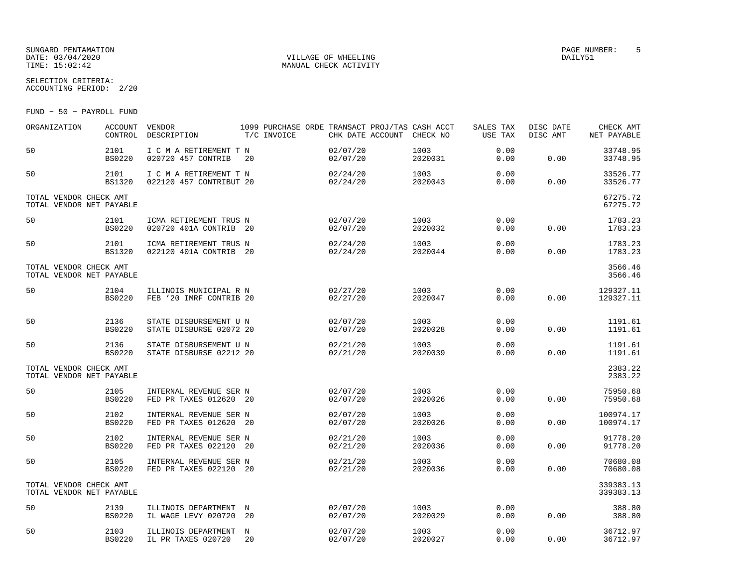### SUNGARD PENTAMATION PAGE NUMBER: 5 $\begin{array}{cccc}\texttt{DATE:} & 03/04/2020 & & & & & & & \texttt{VILLAGE OF WHERELING} \\\texttt{TIME:} & 15:02:42 & & & & & & \texttt{MANUAL CHECK ACTIVITY} \end{array}$

SELECTION CRITERIA:

ACCOUNTING PERIOD: 2/20

FUND − 50 − PAYROLL FUND

| ORGANIZATION                                       | ACCOUNT<br>CONTROL    | VENDOR<br>DESCRIPTION                             | 1099 PURCHASE ORDE TRANSACT PROJ/TAS CASH ACCT<br>T/C INVOICE | CHK DATE ACCOUNT CHECK NO |                 | SALES TAX<br>USE TAX | DISC DATE<br>DISC AMT | CHECK AMT<br>NET PAYABLE |
|----------------------------------------------------|-----------------------|---------------------------------------------------|---------------------------------------------------------------|---------------------------|-----------------|----------------------|-----------------------|--------------------------|
| 50                                                 | 2101<br><b>BS0220</b> | I C M A RETIREMENT T N<br>020720 457 CONTRIB      | 20                                                            | 02/07/20<br>02/07/20      | 1003<br>2020031 | 0.00<br>0.00         | 0.00                  | 33748.95<br>33748.95     |
| 50                                                 | 2101<br><b>BS1320</b> | I C M A RETIREMENT T N<br>022120 457 CONTRIBUT 20 |                                                               | 02/24/20<br>02/24/20      | 1003<br>2020043 | 0.00<br>0.00         | 0.00                  | 33526.77<br>33526.77     |
| TOTAL VENDOR CHECK AMT<br>TOTAL VENDOR NET PAYABLE |                       |                                                   |                                                               |                           |                 |                      |                       | 67275.72<br>67275.72     |
| 50                                                 | 2101<br><b>BS0220</b> | ICMA RETIREMENT TRUS N<br>020720 401A CONTRIB 20  |                                                               | 02/07/20<br>02/07/20      | 1003<br>2020032 | 0.00<br>0.00         | 0.00                  | 1783.23<br>1783.23       |
| 50                                                 | 2101<br><b>BS1320</b> | ICMA RETIREMENT TRUS N<br>022120 401A CONTRIB 20  |                                                               | 02/24/20<br>02/24/20      | 1003<br>2020044 | 0.00<br>0.00         | 0.00                  | 1783.23<br>1783.23       |
| TOTAL VENDOR CHECK AMT<br>TOTAL VENDOR NET PAYABLE |                       |                                                   |                                                               |                           |                 |                      |                       | 3566.46<br>3566.46       |
| 50                                                 | 2104<br><b>BS0220</b> | ILLINOIS MUNICIPAL R N<br>FEB '20 IMRF CONTRIB 20 |                                                               | 02/27/20<br>02/27/20      | 1003<br>2020047 | 0.00<br>0.00         | 0.00                  | 129327.11<br>129327.11   |
| 50                                                 | 2136<br><b>BS0220</b> | STATE DISBURSEMENT U N<br>STATE DISBURSE 02072 20 |                                                               | 02/07/20<br>02/07/20      | 1003<br>2020028 | 0.00<br>0.00         | 0.00                  | 1191.61<br>1191.61       |
| 50                                                 | 2136<br><b>BS0220</b> | STATE DISBURSEMENT U N<br>STATE DISBURSE 02212 20 |                                                               | 02/21/20<br>02/21/20      | 1003<br>2020039 | 0.00<br>0.00         | 0.00                  | 1191.61<br>1191.61       |
| TOTAL VENDOR CHECK AMT<br>TOTAL VENDOR NET PAYABLE |                       |                                                   |                                                               |                           |                 |                      |                       | 2383.22<br>2383.22       |
| 50                                                 | 2105<br><b>BS0220</b> | INTERNAL REVENUE SER N<br>FED PR TAXES 012620 20  |                                                               | 02/07/20<br>02/07/20      | 1003<br>2020026 | 0.00<br>0.00         | 0.00                  | 75950.68<br>75950.68     |
| 50                                                 | 2102<br><b>BS0220</b> | INTERNAL REVENUE SER N<br>FED PR TAXES 012620 20  |                                                               | 02/07/20<br>02/07/20      | 1003<br>2020026 | 0.00<br>0.00         | 0.00                  | 100974.17<br>100974.17   |
| 50                                                 | 2102<br><b>BS0220</b> | INTERNAL REVENUE SER N<br>FED PR TAXES 022120 20  |                                                               | 02/21/20<br>02/21/20      | 1003<br>2020036 | 0.00<br>0.00         | 0.00                  | 91778.20<br>91778.20     |
| 50                                                 | 2105<br><b>BS0220</b> | INTERNAL REVENUE SER N<br>FED PR TAXES 022120 20  |                                                               | 02/21/20<br>02/21/20      | 1003<br>2020036 | 0.00<br>0.00         | 0.00                  | 70680.08<br>70680.08     |
| TOTAL VENDOR CHECK AMT<br>TOTAL VENDOR NET PAYABLE |                       |                                                   |                                                               |                           |                 |                      |                       | 339383.13<br>339383.13   |
| 50                                                 | 2139<br><b>BS0220</b> | ILLINOIS DEPARTMENT N<br>IL WAGE LEVY 020720      | 20                                                            | 02/07/20<br>02/07/20      | 1003<br>2020029 | 0.00<br>0.00         | 0.00                  | 388.80<br>388.80         |
| 50                                                 | 2103<br>BS0220        | ILLINOIS DEPARTMENT<br>IL PR TAXES 020720         | N<br>20                                                       | 02/07/20<br>02/07/20      | 1003<br>2020027 | 0.00<br>0.00         | 0.00                  | 36712.97<br>36712.97     |

MANUAL CHECK ACTIVITY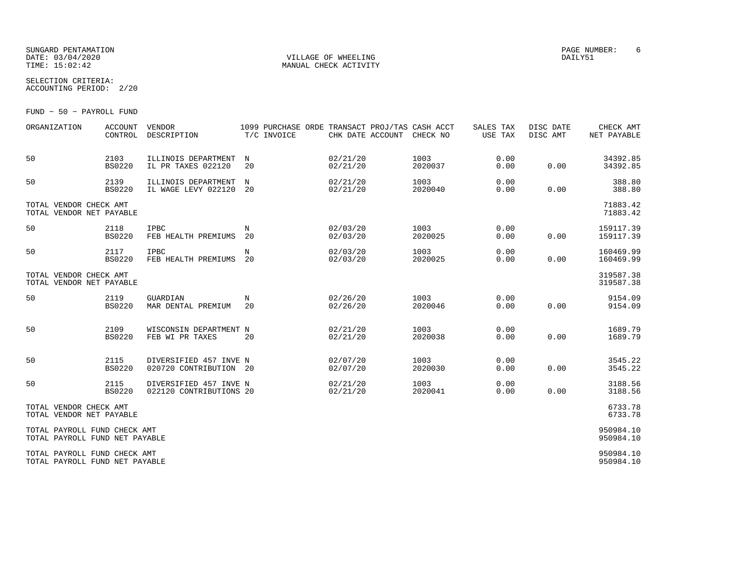### SUNGARD PENTAMATION PAGE NUMBER: 6DATE: 03/04/2020 VILLAGE OF WHEELING DAILY51

SELECTION CRITERIA:

ACCOUNTING PERIOD: 2/20

FUND − 50 − PAYROLL FUND

| ORGANIZATION                                                   | ACCOUNT<br>CONTROL    | <b>VENDOR</b><br>DESCRIPTION                      | T/C INVOICE      |                      | 1099 PURCHASE ORDE TRANSACT PROJ/TAS CASH ACCT<br>CHK DATE ACCOUNT CHECK NO | SALES TAX<br>USE TAX | DISC DATE<br>DISC AMT | CHECK AMT<br>NET PAYABLE |
|----------------------------------------------------------------|-----------------------|---------------------------------------------------|------------------|----------------------|-----------------------------------------------------------------------------|----------------------|-----------------------|--------------------------|
| 50                                                             | 2103<br><b>BS0220</b> | ILLINOIS DEPARTMENT<br>IL PR TAXES 022120         | $_{\rm N}$<br>20 | 02/21/20<br>02/21/20 | 1003<br>2020037                                                             | 0.00<br>0.00         | 0.00                  | 34392.85<br>34392.85     |
| 50                                                             | 2139<br><b>BS0220</b> | ILLINOIS DEPARTMENT<br>IL WAGE LEVY 022120        | $_{\rm N}$<br>20 | 02/21/20<br>02/21/20 | 1003<br>2020040                                                             | 0.00<br>0.00         | 0.00                  | 388.80<br>388.80         |
| TOTAL VENDOR CHECK AMT<br>TOTAL VENDOR NET PAYABLE             |                       |                                                   |                  |                      |                                                                             |                      |                       | 71883.42<br>71883.42     |
| 50                                                             | 2118<br><b>BS0220</b> | IPBC<br>FEB HEALTH PREMIUMS                       | N<br>20          | 02/03/20<br>02/03/20 | 1003<br>2020025                                                             | 0.00<br>0.00         | 0.00                  | 159117.39<br>159117.39   |
| 50                                                             | 2117<br><b>BS0220</b> | <b>IPBC</b><br>FEB HEALTH PREMIUMS 20             | N                | 02/03/20<br>02/03/20 | 1003<br>2020025                                                             | 0.00<br>0.00         | 0.00                  | 160469.99<br>160469.99   |
| TOTAL VENDOR CHECK AMT<br>TOTAL VENDOR NET PAYABLE             |                       |                                                   |                  |                      |                                                                             |                      |                       | 319587.38<br>319587.38   |
| 50                                                             | 2119<br><b>BS0220</b> | GUARDIAN<br>MAR DENTAL PREMIUM                    | N<br>20          | 02/26/20<br>02/26/20 | 1003<br>2020046                                                             | 0.00<br>0.00         | 0.00                  | 9154.09<br>9154.09       |
| 50                                                             | 2109<br><b>BS0220</b> | WISCONSIN DEPARTMENT N<br>FEB WI PR TAXES         | 20               | 02/21/20<br>02/21/20 | 1003<br>2020038                                                             | 0.00<br>0.00         | 0.00                  | 1689.79<br>1689.79       |
| 50                                                             | 2115<br><b>BS0220</b> | DIVERSIFIED 457 INVE N<br>020720 CONTRIBUTION 20  |                  | 02/07/20<br>02/07/20 | 1003<br>2020030                                                             | 0.00<br>0.00         | 0.00                  | 3545.22<br>3545.22       |
| 50                                                             | 2115<br><b>BS0220</b> | DIVERSIFIED 457 INVE N<br>022120 CONTRIBUTIONS 20 |                  | 02/21/20<br>02/21/20 | 1003<br>2020041                                                             | 0.00<br>0.00         | 0.00                  | 3188.56<br>3188.56       |
| TOTAL VENDOR CHECK AMT<br>TOTAL VENDOR NET PAYABLE             |                       |                                                   |                  |                      |                                                                             |                      |                       | 6733.78<br>6733.78       |
| TOTAL PAYROLL FUND CHECK AMT<br>TOTAL PAYROLL FUND NET PAYABLE |                       |                                                   |                  |                      |                                                                             |                      |                       | 950984.10<br>950984.10   |
| TOTAL PAYROLL FUND CHECK AMT<br>TOTAL PAYROLL FUND NET PAYABLE |                       |                                                   |                  |                      |                                                                             |                      |                       | 950984.10<br>950984.10   |

MANUAL CHECK ACTIVITY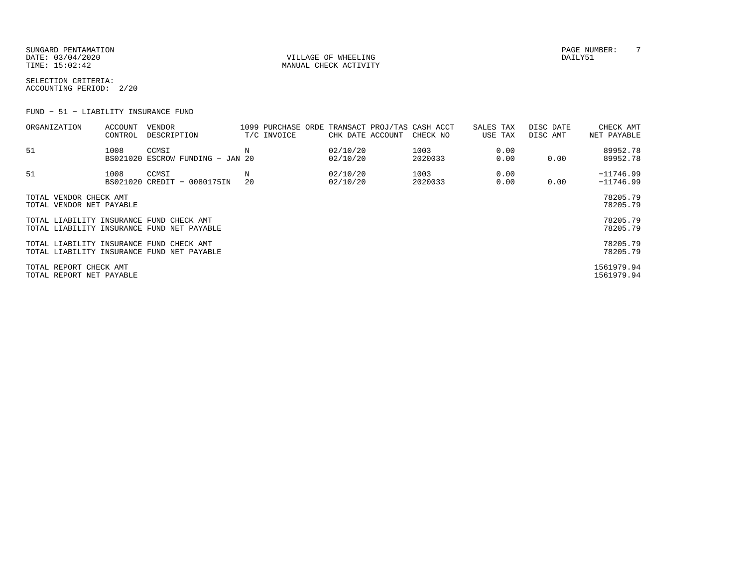SUNGARD PENTAMATION PAGE NUMBER: T DATE: 03/04/2020 VILLAGE OF WHEELING DAILY51

MANUAL CHECK ACTIVITY

SELECTION CRITERIA:ACCOUNTING PERIOD: 2/20

FUND − 51 − LIABILITY INSURANCE FUND

| ORGANIZATION                                                                           | ACCOUNT<br>CONTROL | VENDOR<br>DESCRIPTION                     |         | T/C INVOICE | CHK DATE ACCOUNT     | 1099 PURCHASE ORDE TRANSACT PROJ/TAS CASH ACCT<br>CHECK NO | SALES TAX<br>USE TAX | DISC DATE<br>DISC AMT | CHECK AMT<br>NET PAYABLE   |
|----------------------------------------------------------------------------------------|--------------------|-------------------------------------------|---------|-------------|----------------------|------------------------------------------------------------|----------------------|-----------------------|----------------------------|
| 51                                                                                     | 1008               | CCMSI<br>BS021020 ESCROW FUNDING - JAN 20 | N       |             | 02/10/20<br>02/10/20 | 1003<br>2020033                                            | 0.00<br>0.00         | 0.00                  | 89952.78<br>89952.78       |
| 51                                                                                     | 1008               | CCMSI<br>BS021020 CREDIT - 0080175IN      | N<br>20 |             | 02/10/20<br>02/10/20 | 1003<br>2020033                                            | 0.00<br>0.00         | 0.00                  | $-11746.99$<br>$-11746.99$ |
| TOTAL VENDOR CHECK AMT<br>TOTAL VENDOR NET PAYABLE                                     |                    |                                           |         |             |                      |                                                            |                      |                       | 78205.79<br>78205.79       |
| TOTAL LIABILITY INSURANCE FUND CHECK AMT<br>TOTAL LIABILITY INSURANCE FUND NET PAYABLE |                    |                                           |         |             |                      |                                                            |                      |                       | 78205.79<br>78205.79       |
| TOTAL LIABILITY INSURANCE FUND CHECK AMT<br>TOTAL LIABILITY INSURANCE FUND NET PAYABLE |                    |                                           |         |             |                      |                                                            |                      |                       | 78205.79<br>78205.79       |
| TOTAL REPORT CHECK AMT<br>TOTAL REPORT NET PAYABLE                                     |                    |                                           |         |             |                      |                                                            |                      |                       | 1561979.94<br>1561979.94   |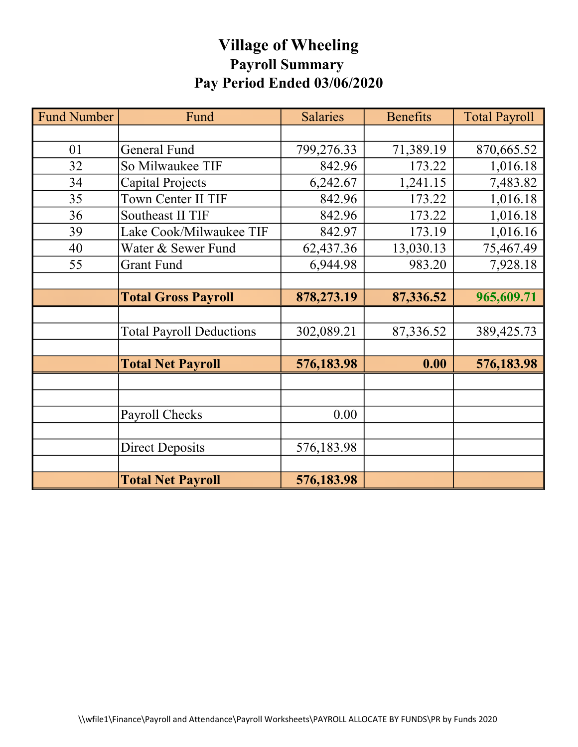# Village of Wheeling Payroll Summary Pay Period Ended 03/06/2020

| <b>Fund Number</b> | Fund                            | <b>Salaries</b> | <b>Benefits</b> | <b>Total Payroll</b> |
|--------------------|---------------------------------|-----------------|-----------------|----------------------|
|                    |                                 |                 |                 |                      |
| 01                 | <b>General Fund</b>             | 799,276.33      | 71,389.19       | 870,665.52           |
| 32                 | So Milwaukee TIF                | 842.96          | 173.22          | 1,016.18             |
| 34                 | Capital Projects                | 6,242.67        | 1,241.15        | 7,483.82             |
| 35                 | Town Center II TIF              | 842.96          | 173.22          | 1,016.18             |
| 36                 | Southeast II TIF                | 842.96          | 173.22          | 1,016.18             |
| 39                 | Lake Cook/Milwaukee TIF         | 842.97          | 173.19          | 1,016.16             |
| 40                 | Water & Sewer Fund              | 62,437.36       | 13,030.13       | 75,467.49            |
| 55                 | <b>Grant Fund</b>               | 6,944.98        | 983.20          | 7,928.18             |
|                    |                                 |                 |                 |                      |
|                    | <b>Total Gross Payroll</b>      | 878,273.19      | 87,336.52       | 965,609.71           |
|                    |                                 |                 |                 |                      |
|                    | <b>Total Payroll Deductions</b> | 302,089.21      | 87,336.52       | 389,425.73           |
|                    |                                 |                 |                 |                      |
|                    | <b>Total Net Payroll</b>        | 576,183.98      | 0.00            | 576,183.98           |
|                    |                                 |                 |                 |                      |
|                    |                                 |                 |                 |                      |
|                    | Payroll Checks                  | 0.00            |                 |                      |
|                    |                                 |                 |                 |                      |
|                    | <b>Direct Deposits</b>          | 576,183.98      |                 |                      |
|                    |                                 |                 |                 |                      |
|                    | <b>Total Net Payroll</b>        | 576,183.98      |                 |                      |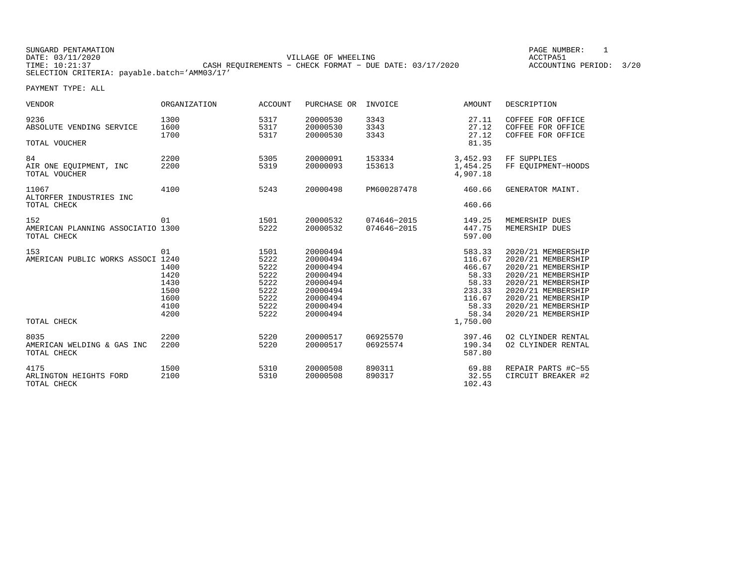| SUNGARD PENTAMATION                          |                                                         | PAGE NUMBER:            |  |
|----------------------------------------------|---------------------------------------------------------|-------------------------|--|
| DATE: 03/11/2020                             | VILLAGE OF WHEELING                                     | ACCTPA51                |  |
| TIME: 10:21:37                               | CASH REOUIREMENTS - CHECK FORMAT - DUE DATE: 03/17/2020 | ACCOUNTING PERIOD: 3/20 |  |
| SELECTION CRITERIA: payable.batch='AMM03/17' |                                                         |                         |  |

GE NUMBER: 1

| <b>VENDOR</b>                                           | <b>ORGANIZATION</b>                                        | <b>ACCOUNT</b>                                                       | PURCHASE OR                                                                                              | INVOICE                    | AMOUNT                                                                                         | DESCRIPTION                                                                                                                                                                                        |
|---------------------------------------------------------|------------------------------------------------------------|----------------------------------------------------------------------|----------------------------------------------------------------------------------------------------------|----------------------------|------------------------------------------------------------------------------------------------|----------------------------------------------------------------------------------------------------------------------------------------------------------------------------------------------------|
| 9236<br>ABSOLUTE VENDING SERVICE                        | 1300<br>1600<br>1700                                       | 5317<br>5317<br>5317                                                 | 20000530<br>20000530<br>20000530                                                                         | 3343<br>3343<br>3343       | 27.11<br>27.12<br>27.12<br>81.35                                                               | COFFEE FOR OFFICE<br>COFFEE FOR OFFICE<br>COFFEE FOR OFFICE                                                                                                                                        |
| TOTAL VOUCHER                                           |                                                            |                                                                      |                                                                                                          |                            |                                                                                                |                                                                                                                                                                                                    |
| 84<br>AIR ONE EOUIPMENT, INC<br>TOTAL VOUCHER           | 2200<br>2200                                               | 5305<br>5319                                                         | 20000091<br>20000093                                                                                     | 153334<br>153613           | 3,452.93<br>1,454.25<br>4,907.18                                                               | FF SUPPLIES<br>FF EOUIPMENT-HOODS                                                                                                                                                                  |
| 11067<br>ALTORFER INDUSTRIES INC<br>TOTAL CHECK         | 4100                                                       | 5243                                                                 | 20000498                                                                                                 | PM600287478                | 460.66<br>460.66                                                                               | GENERATOR MAINT.                                                                                                                                                                                   |
|                                                         |                                                            |                                                                      |                                                                                                          |                            |                                                                                                |                                                                                                                                                                                                    |
| 152<br>AMERICAN PLANNING ASSOCIATIO 1300<br>TOTAL CHECK | 01                                                         | 1501<br>5222                                                         | 20000532<br>20000532                                                                                     | 074646-2015<br>074646-2015 | 149.25<br>447.75<br>597.00                                                                     | MEMERSHIP DUES<br>MEMERSHIP DUES                                                                                                                                                                   |
| 153<br>AMERICAN PUBLIC WORKS ASSOCI 1240<br>TOTAL CHECK | 01<br>1400<br>1420<br>1430<br>1500<br>1600<br>4100<br>4200 | 1501<br>5222<br>5222<br>5222<br>5222<br>5222<br>5222<br>5222<br>5222 | 20000494<br>20000494<br>20000494<br>20000494<br>20000494<br>20000494<br>20000494<br>20000494<br>20000494 |                            | 583.33<br>116.67<br>466.67<br>58.33<br>58.33<br>233.33<br>116.67<br>58.33<br>58.34<br>1,750.00 | 2020/21 MEMBERSHIP<br>2020/21 MEMBERSHIP<br>2020/21 MEMBERSHIP<br>2020/21 MEMBERSHIP<br>2020/21 MEMBERSHIP<br>2020/21 MEMBERSHIP<br>2020/21 MEMBERSHIP<br>2020/21 MEMBERSHIP<br>2020/21 MEMBERSHIP |
|                                                         |                                                            |                                                                      |                                                                                                          |                            |                                                                                                |                                                                                                                                                                                                    |
| 8035<br>AMERICAN WELDING & GAS INC<br>TOTAL CHECK       | 2200<br>2200                                               | 5220<br>5220                                                         | 20000517<br>20000517                                                                                     | 06925570<br>06925574       | 397.46<br>190.34<br>587.80                                                                     | 02 CLYINDER RENTAL<br>02 CLYINDER RENTAL                                                                                                                                                           |
| 4175<br>ARLINGTON HEIGHTS FORD<br>TOTAL CHECK           | 1500<br>2100                                               | 5310<br>5310                                                         | 20000508<br>20000508                                                                                     | 890311<br>890317           | 69.88<br>32.55<br>102.43                                                                       | REPAIR PARTS #C-55<br>CIRCUIT BREAKER #2                                                                                                                                                           |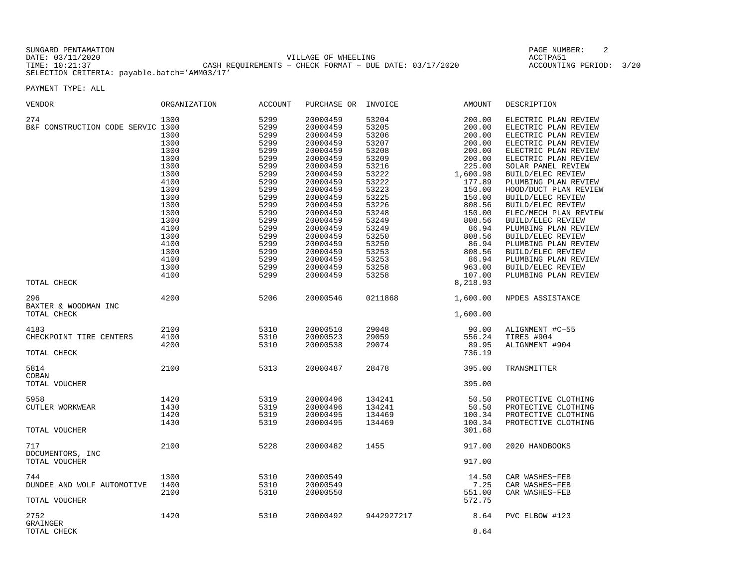| SUNGARD PENTAMATION |                                                           | PAGE NUMBER:            |  |
|---------------------|-----------------------------------------------------------|-------------------------|--|
| DATE: 03/11/2020    | VILLAGE OF WHEELING                                       | ACCTPA51                |  |
| TIME: 10:21:37      | CASH REOUIREMENTS - CHECK FORMAT - DUE DATE: $03/17/2020$ | ACCOUNTING PERIOD: 3/20 |  |
|                     | SELECTION CRITERIA: payable.batch='AMM03/17'              |                         |  |

PAGE NUMBER: 2

| <b>VENDOR</b>                                      | ORGANIZATION                                                                                                                                                 | <b>ACCOUNT</b>                                                                                                                                                       | PURCHASE OR                                                                                                                                                                                                                                              | INVOICE                                                                                                                                                                                   | AMOUNT                                                                                                                                                                                                        | DESCRIPTION                                                                                                                                                                                                                                                                                                                                                                                                                                                                                     |
|----------------------------------------------------|--------------------------------------------------------------------------------------------------------------------------------------------------------------|----------------------------------------------------------------------------------------------------------------------------------------------------------------------|----------------------------------------------------------------------------------------------------------------------------------------------------------------------------------------------------------------------------------------------------------|-------------------------------------------------------------------------------------------------------------------------------------------------------------------------------------------|---------------------------------------------------------------------------------------------------------------------------------------------------------------------------------------------------------------|-------------------------------------------------------------------------------------------------------------------------------------------------------------------------------------------------------------------------------------------------------------------------------------------------------------------------------------------------------------------------------------------------------------------------------------------------------------------------------------------------|
| 274<br>B&F CONSTRUCTION CODE SERVIC 1300           | 1300<br>1300<br>1300<br>1300<br>1300<br>1300<br>1300<br>4100<br>1300<br>1300<br>1300<br>1300<br>1300<br>4100<br>1300<br>4100<br>1300<br>4100<br>1300<br>4100 | 5299<br>5299<br>5299<br>5299<br>5299<br>5299<br>5299<br>5299<br>5299<br>5299<br>5299<br>5299<br>5299<br>5299<br>5299<br>5299<br>5299<br>5299<br>5299<br>5299<br>5299 | 20000459<br>20000459<br>20000459<br>20000459<br>20000459<br>20000459<br>20000459<br>20000459<br>20000459<br>20000459<br>20000459<br>20000459<br>20000459<br>20000459<br>20000459<br>20000459<br>20000459<br>20000459<br>20000459<br>20000459<br>20000459 | 53204<br>53205<br>53206<br>53207<br>53208<br>53209<br>53216<br>53222<br>53222<br>53223<br>53225<br>53226<br>53248<br>53249<br>53249<br>53250<br>53250<br>53253<br>53253<br>53258<br>53258 | 200.00<br>200.00<br>200.00<br>200.00<br>200.00<br>200.00<br>225.00<br>1,600.98<br>177.89<br>150.00<br>150.00<br>808.56<br>150.00<br>808.56<br>86.94<br>808.56<br>86.94<br>808.56<br>86.94<br>963.00<br>107.00 | ELECTRIC PLAN REVIEW<br>ELECTRIC PLAN REVIEW<br>ELECTRIC PLAN REVIEW<br>ELECTRIC PLAN REVIEW<br>ELECTRIC PLAN REVIEW<br>ELECTRIC PLAN REVIEW<br>SOLAR PANEL REVIEW<br>BUILD/ELEC REVIEW<br>PLUMBING PLAN REVIEW<br>HOOD/DUCT PLAN REVIEW<br>BUILD/ELEC REVIEW<br>BUILD/ELEC REVIEW<br>ELEC/MECH PLAN REVIEW<br>BUILD/ELEC REVIEW<br>PLUMBING PLAN REVIEW<br>BUILD/ELEC REVIEW<br>PLUMBING PLAN REVIEW<br>BUILD/ELEC REVIEW<br>PLUMBING PLAN REVIEW<br>BUILD/ELEC REVIEW<br>PLUMBING PLAN REVIEW |
| TOTAL CHECK                                        |                                                                                                                                                              |                                                                                                                                                                      |                                                                                                                                                                                                                                                          |                                                                                                                                                                                           | 8,218.93                                                                                                                                                                                                      |                                                                                                                                                                                                                                                                                                                                                                                                                                                                                                 |
| 296<br>BAXTER & WOODMAN INC<br>TOTAL CHECK         | 4200                                                                                                                                                         | 5206                                                                                                                                                                 | 20000546                                                                                                                                                                                                                                                 | 0211868                                                                                                                                                                                   | 1,600.00<br>1,600.00                                                                                                                                                                                          | NPDES ASSISTANCE                                                                                                                                                                                                                                                                                                                                                                                                                                                                                |
| 4183<br>CHECKPOINT TIRE CENTERS<br>TOTAL CHECK     | 2100<br>4100<br>4200                                                                                                                                         | 5310<br>5310<br>5310                                                                                                                                                 | 20000510<br>20000523<br>20000538                                                                                                                                                                                                                         | 29048<br>29059<br>29074                                                                                                                                                                   | 90.00<br>556.24<br>89.95<br>736.19                                                                                                                                                                            | ALIGNMENT #C-55<br>TIRES #904<br>ALIGNMENT #904                                                                                                                                                                                                                                                                                                                                                                                                                                                 |
| 5814<br>COBAN<br>TOTAL VOUCHER                     | 2100                                                                                                                                                         | 5313                                                                                                                                                                 | 20000487                                                                                                                                                                                                                                                 | 28478                                                                                                                                                                                     | 395.00<br>395.00                                                                                                                                                                                              | TRANSMITTER                                                                                                                                                                                                                                                                                                                                                                                                                                                                                     |
| 5958<br>CUTLER WORKWEAR<br>TOTAL VOUCHER           | 1420<br>1430<br>1420<br>1430                                                                                                                                 | 5319<br>5319<br>5319<br>5319                                                                                                                                         | 20000496<br>20000496<br>20000495<br>20000495                                                                                                                                                                                                             | 134241<br>134241<br>134469<br>134469                                                                                                                                                      | 50.50<br>50.50<br>100.34<br>100.34<br>301.68                                                                                                                                                                  | PROTECTIVE CLOTHING<br>PROTECTIVE CLOTHING<br>PROTECTIVE CLOTHING<br>PROTECTIVE CLOTHING                                                                                                                                                                                                                                                                                                                                                                                                        |
| 717<br>DOCUMENTORS, INC<br>TOTAL VOUCHER           | 2100                                                                                                                                                         | 5228                                                                                                                                                                 | 20000482                                                                                                                                                                                                                                                 | 1455                                                                                                                                                                                      | 917.00<br>917.00                                                                                                                                                                                              | 2020 HANDBOOKS                                                                                                                                                                                                                                                                                                                                                                                                                                                                                  |
| 744<br>DUNDEE AND WOLF AUTOMOTIVE<br>TOTAL VOUCHER | 1300<br>1400<br>2100                                                                                                                                         | 5310<br>5310<br>5310                                                                                                                                                 | 20000549<br>20000549<br>20000550                                                                                                                                                                                                                         |                                                                                                                                                                                           | 14.50<br>7.25<br>551.00<br>572.75                                                                                                                                                                             | CAR WASHES-FEB<br>CAR WASHES-FEB<br>CAR WASHES-FEB                                                                                                                                                                                                                                                                                                                                                                                                                                              |
| 2752<br>GRAINGER<br>TOTAL CHECK                    | 1420                                                                                                                                                         | 5310                                                                                                                                                                 | 20000492                                                                                                                                                                                                                                                 | 9442927217                                                                                                                                                                                | 8.64<br>8.64                                                                                                                                                                                                  | PVC ELBOW #123                                                                                                                                                                                                                                                                                                                                                                                                                                                                                  |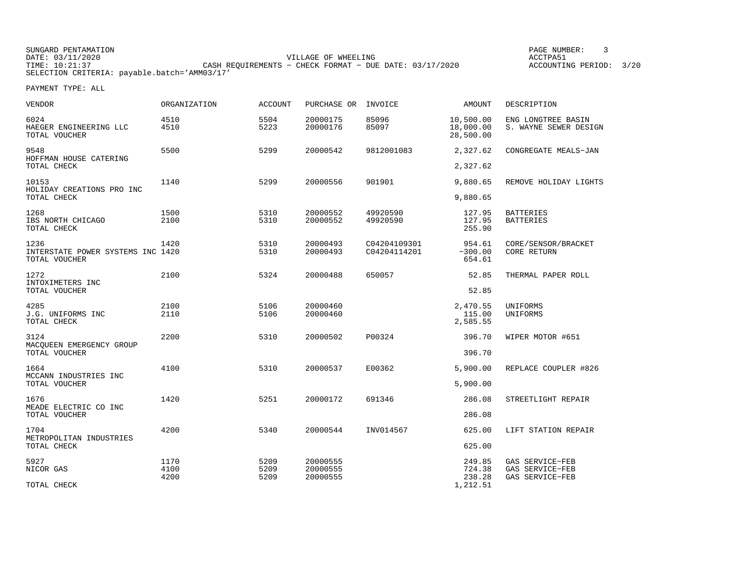SUNGARD PENTAMATION PAGE NUMBER: 3DATE: 03/11/2020 VILLAGE OF WHEELING ACCTPA51CASH REQUIREMENTS - CHECK FORMAT - DUE DATE: 03/17/2020 SELECTION CRITERIA: payable.batch='AMM03/17'

ACCOUNTING PERIOD: 3/20

| <b>VENDOR</b>                                              | ORGANIZATION         | ACCOUNT              | PURCHASE OR                      | INVOICE                      | AMOUNT                                 | DESCRIPTION                                           |
|------------------------------------------------------------|----------------------|----------------------|----------------------------------|------------------------------|----------------------------------------|-------------------------------------------------------|
| 6024<br>HAEGER ENGINEERING LLC<br>TOTAL VOUCHER            | 4510<br>4510         | 5504<br>5223         | 20000175<br>20000176             | 85096<br>85097               | 10,500.00<br>18,000.00<br>28,500.00    | ENG LONGTREE BASIN<br>S. WAYNE SEWER DESIGN           |
| 9548<br>HOFFMAN HOUSE CATERING<br>TOTAL CHECK              | 5500                 | 5299                 | 20000542                         | 9812001083                   | 2,327.62<br>2,327.62                   | CONGREGATE MEALS-JAN                                  |
| 10153<br>HOLIDAY CREATIONS PRO INC                         | 1140                 | 5299                 | 20000556                         | 901901                       | 9,880.65                               | REMOVE HOLIDAY LIGHTS                                 |
| TOTAL CHECK<br>1268<br>IBS NORTH CHICAGO<br>TOTAL CHECK    | 1500<br>2100         | 5310<br>5310         | 20000552<br>20000552             | 49920590<br>49920590         | 9,880.65<br>127.95<br>127.95<br>255.90 | <b>BATTERIES</b><br><b>BATTERIES</b>                  |
| 1236<br>INTERSTATE POWER SYSTEMS INC 1420<br>TOTAL VOUCHER | 1420                 | 5310<br>5310         | 20000493<br>20000493             | C04204109301<br>C04204114201 | 954.61<br>$-300.00$<br>654.61          | CORE/SENSOR/BRACKET<br><b>CORE RETURN</b>             |
| 1272<br>INTOXIMETERS INC<br>TOTAL VOUCHER                  | 2100                 | 5324                 | 20000488                         | 650057                       | 52.85<br>52.85                         | THERMAL PAPER ROLL                                    |
| 4285<br>J.G. UNIFORMS INC<br>TOTAL CHECK                   | 2100<br>2110         | 5106<br>5106         | 20000460<br>20000460             |                              | 2,470.55<br>115.00<br>2,585.55         | UNIFORMS<br>UNIFORMS                                  |
| 3124<br>MACOUEEN EMERGENCY GROUP<br>TOTAL VOUCHER          | 2200                 | 5310                 | 20000502                         | P00324                       | 396.70<br>396.70                       | WIPER MOTOR #651                                      |
| 1664<br>MCCANN INDUSTRIES INC<br>TOTAL VOUCHER             | 4100                 | 5310                 | 20000537                         | E00362                       | 5,900.00<br>5,900.00                   | REPLACE COUPLER #826                                  |
| 1676<br>MEADE ELECTRIC CO INC<br>TOTAL VOUCHER             | 1420                 | 5251                 | 20000172                         | 691346                       | 286.08<br>286.08                       | STREETLIGHT REPAIR                                    |
| 1704<br>METROPOLITAN INDUSTRIES<br>TOTAL CHECK             | 4200                 | 5340                 | 20000544                         | INV014567                    | 625.00<br>625.00                       | LIFT STATION REPAIR                                   |
| 5927<br>NICOR GAS<br>TOTAL CHECK                           | 1170<br>4100<br>4200 | 5209<br>5209<br>5209 | 20000555<br>20000555<br>20000555 |                              | 249.85<br>724.38<br>238.28<br>1,212.51 | GAS SERVICE-FEB<br>GAS SERVICE-FEB<br>GAS SERVICE-FEB |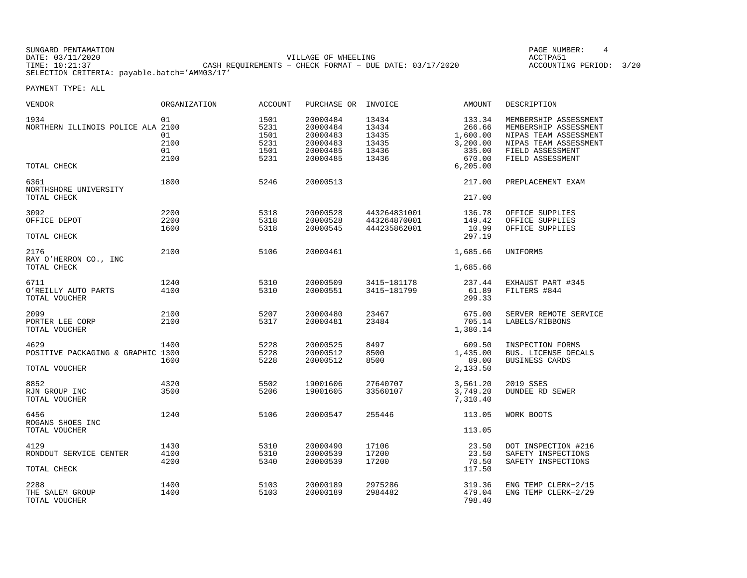SUNGARD PENTAMATION PAGE NUMBER: 4DATE: 03/11/2020 VILLAGE OF WHEELING ACCTPA51CASH REQUIREMENTS - CHECK FORMAT - DUE DATE: 03/17/2020 SELECTION CRITERIA: payable.batch='AMM03/17'

ACCOUNTING PERIOD: 3/20

| VENDOR                                                     | ORGANIZATION                   | ACCOUNT                                      | PURCHASE OR                                                          | INVOICE                                            | AMOUNT                                                       | DESCRIPTION                                                                                                                              |
|------------------------------------------------------------|--------------------------------|----------------------------------------------|----------------------------------------------------------------------|----------------------------------------------------|--------------------------------------------------------------|------------------------------------------------------------------------------------------------------------------------------------------|
| 1934<br>NORTHERN ILLINOIS POLICE ALA 2100                  | 01<br>01<br>2100<br>01<br>2100 | 1501<br>5231<br>1501<br>5231<br>1501<br>5231 | 20000484<br>20000484<br>20000483<br>20000483<br>20000485<br>20000485 | 13434<br>13434<br>13435<br>13435<br>13436<br>13436 | 133.34<br>266.66<br>1,600.00<br>3,200.00<br>335.00<br>670.00 | MEMBERSHIP ASSESSMENT<br>MEMBERSHIP ASSESSMENT<br>NIPAS TEAM ASSESSMENT<br>NIPAS TEAM ASSESSMENT<br>FIELD ASSESSMENT<br>FIELD ASSESSMENT |
| TOTAL CHECK                                                |                                |                                              |                                                                      |                                                    | 6, 205.00                                                    |                                                                                                                                          |
| 6361<br>NORTHSHORE UNIVERSITY<br>TOTAL CHECK               | 1800                           | 5246                                         | 20000513                                                             |                                                    | 217.00<br>217.00                                             | PREPLACEMENT EXAM                                                                                                                        |
| 3092<br>OFFICE DEPOT<br>TOTAL CHECK                        | 2200<br>2200<br>1600           | 5318<br>5318<br>5318                         | 20000528<br>20000528<br>20000545                                     | 443264831001<br>443264870001<br>444235862001       | 136.78<br>149.42<br>10.99<br>297.19                          | OFFICE SUPPLIES<br>OFFICE SUPPLIES<br>OFFICE SUPPLIES                                                                                    |
| 2176<br>RAY O'HERRON CO., INC<br>TOTAL CHECK               | 2100                           | 5106                                         | 20000461                                                             |                                                    | 1,685.66<br>1,685.66                                         | UNIFORMS                                                                                                                                 |
| 6711<br>O'REILLY AUTO PARTS<br>TOTAL VOUCHER               | 1240<br>4100                   | 5310<br>5310                                 | 20000509<br>20000551                                                 | 3415-181178<br>3415-181799                         | 237.44<br>61.89<br>299.33                                    | EXHAUST PART #345<br>FILTERS #844                                                                                                        |
| 2099<br>PORTER LEE CORP<br>TOTAL VOUCHER                   | 2100<br>2100                   | 5207<br>5317                                 | 20000480<br>20000481                                                 | 23467<br>23484                                     | 675.00<br>705.14<br>1,380.14                                 | SERVER REMOTE SERVICE<br>LABELS/RIBBONS                                                                                                  |
| 4629<br>POSITIVE PACKAGING & GRAPHIC 1300<br>TOTAL VOUCHER | 1400<br>1600                   | 5228<br>5228<br>5228                         | 20000525<br>20000512<br>20000512                                     | 8497<br>8500<br>8500                               | 609.50<br>1,435.00<br>89.00<br>2,133.50                      | INSPECTION FORMS<br>BUS. LICENSE DECALS<br><b>BUSINESS CARDS</b>                                                                         |
| 8852<br>RJN GROUP INC<br>TOTAL VOUCHER                     | 4320<br>3500                   | 5502<br>5206                                 | 19001606<br>19001605                                                 | 27640707<br>33560107                               | 3,561.20<br>3,749.20<br>7,310.40                             | 2019 SSES<br><b>DUNDEE RD SEWER</b>                                                                                                      |
| 6456<br>ROGANS SHOES INC<br>TOTAL VOUCHER                  | 1240                           | 5106                                         | 20000547                                                             | 255446                                             | 113.05<br>113.05                                             | WORK BOOTS                                                                                                                               |
| 4129<br>RONDOUT SERVICE CENTER<br>TOTAL CHECK              | 1430<br>4100<br>4200           | 5310<br>5310<br>5340                         | 20000490<br>20000539<br>20000539                                     | 17106<br>17200<br>17200                            | 23.50<br>23.50<br>70.50<br>117.50                            | DOT INSPECTION #216<br>SAFETY INSPECTIONS<br>SAFETY INSPECTIONS                                                                          |
| 2288<br>THE SALEM GROUP<br>TOTAL VOUCHER                   | 1400<br>1400                   | 5103<br>5103                                 | 20000189<br>20000189                                                 | 2975286<br>2984482                                 | 319.36<br>479.04<br>798.40                                   | ENG TEMP CLERK-2/15<br>ENG TEMP CLERK-2/29                                                                                               |